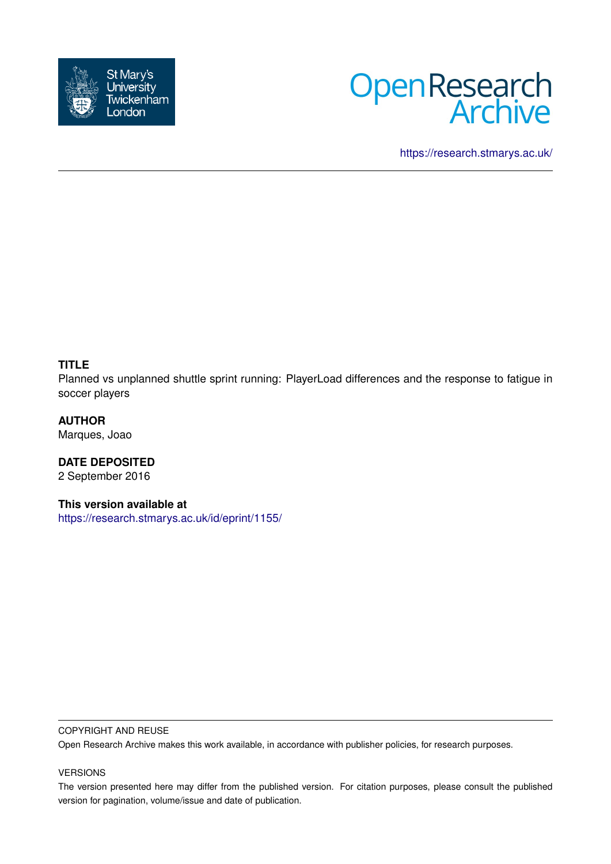



<https://research.stmarys.ac.uk/>

## **TITLE**

Planned vs unplanned shuttle sprint running: PlayerLoad differences and the response to fatigue in soccer players

**AUTHOR** Marques, Joao

**DATE DEPOSITED** 2 September 2016

**This version available at**

<https://research.stmarys.ac.uk/id/eprint/1155/>

#### COPYRIGHT AND REUSE

Open Research Archive makes this work available, in accordance with publisher policies, for research purposes.

#### VERSIONS

The version presented here may differ from the published version. For citation purposes, please consult the published version for pagination, volume/issue and date of publication.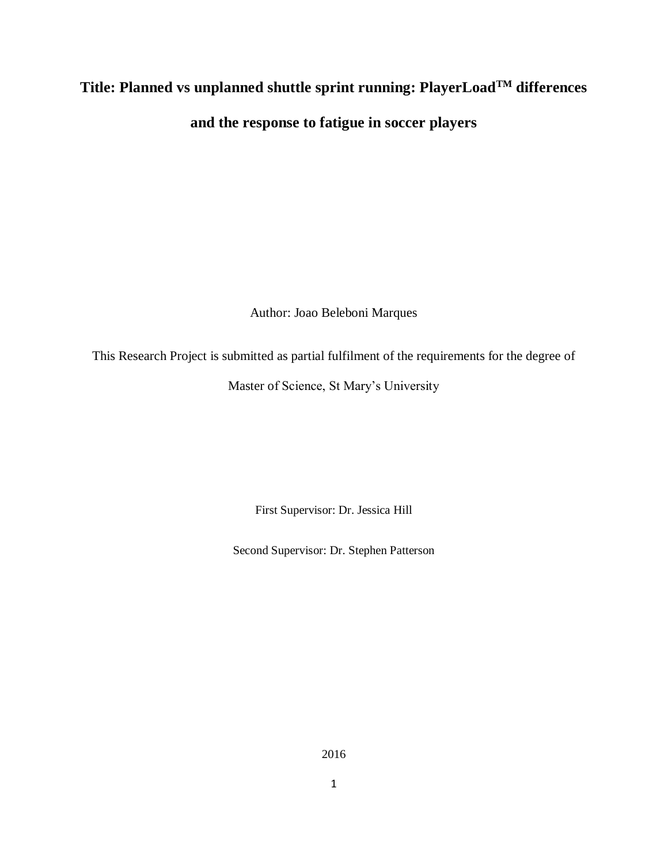# **Title: Planned vs unplanned shuttle sprint running: PlayerLoadTM differences and the response to fatigue in soccer players**

Author: Joao Beleboni Marques

This Research Project is submitted as partial fulfilment of the requirements for the degree of

Master of Science, St Mary's University

First Supervisor: Dr. Jessica Hill

Second Supervisor: Dr. Stephen Patterson

2016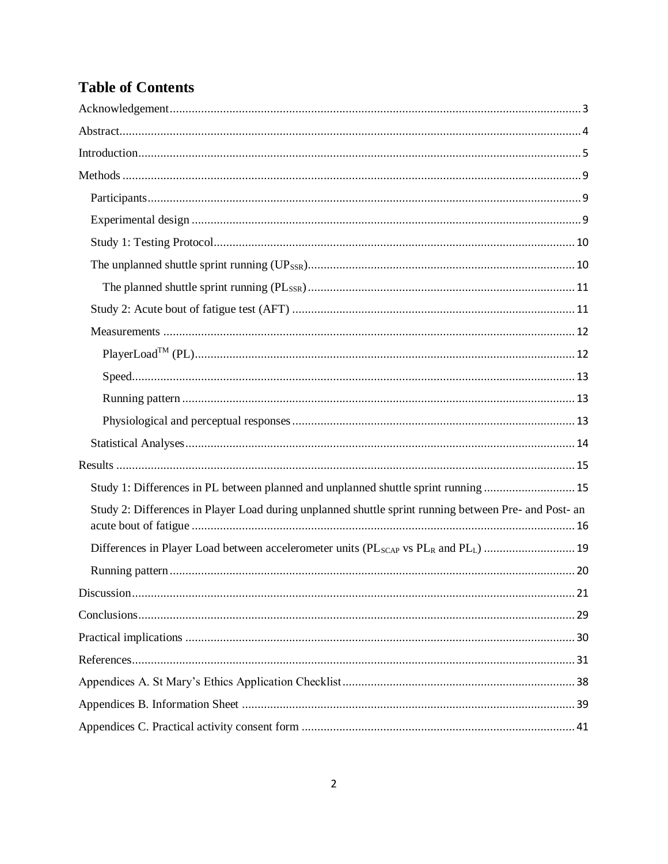## **Table of Contents**

| Study 1: Differences in PL between planned and unplanned shuttle sprint running  15                   |
|-------------------------------------------------------------------------------------------------------|
| Study 2: Differences in Player Load during unplanned shuttle sprint running between Pre- and Post- an |
|                                                                                                       |
|                                                                                                       |
|                                                                                                       |
|                                                                                                       |
|                                                                                                       |
|                                                                                                       |
|                                                                                                       |
|                                                                                                       |
|                                                                                                       |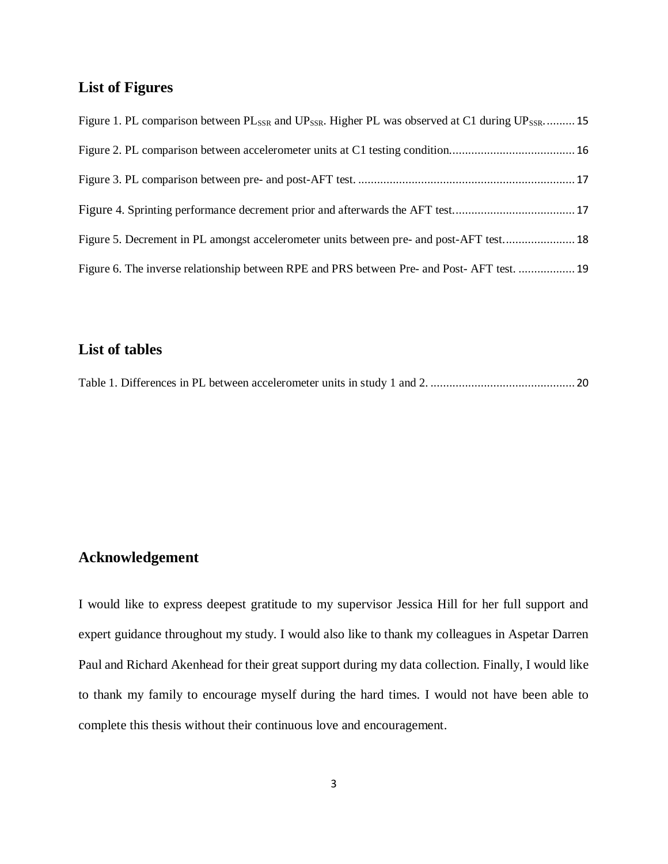## **List of Figures**

| Figure 1. PL comparison between $PL_{SSR}$ and $UP_{SSR}$ . Higher PL was observed at C1 during $UP_{SSR}$ 15 |  |
|---------------------------------------------------------------------------------------------------------------|--|
|                                                                                                               |  |
|                                                                                                               |  |
|                                                                                                               |  |
| Figure 5. Decrement in PL amongst accelerometer units between pre- and post-AFT test 18                       |  |
| Figure 6. The inverse relationship between RPE and PRS between Pre- and Post-AFT test.  19                    |  |

## **List of tables**

|--|--|--|--|

## <span id="page-3-0"></span>**Acknowledgement**

I would like to express deepest gratitude to my supervisor Jessica Hill for her full support and expert guidance throughout my study. I would also like to thank my colleagues in Aspetar Darren Paul and Richard Akenhead for their great support during my data collection. Finally, I would like to thank my family to encourage myself during the hard times. I would not have been able to complete this thesis without their continuous love and encouragement.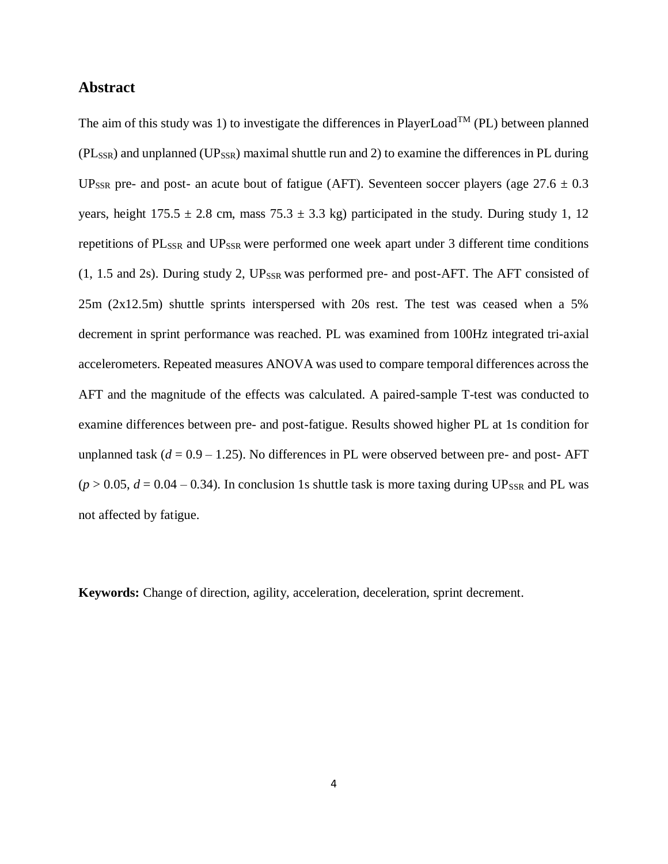#### <span id="page-4-0"></span>**Abstract**

The aim of this study was 1) to investigate the differences in PlayerLoad<sup>TM</sup> (PL) between planned  $(PL_{SSR})$  and unplanned  $(UP_{SSR})$  maximal shuttle run and 2) to examine the differences in PL during UP<sub>SSR</sub> pre- and post- an acute bout of fatigue (AFT). Seventeen soccer players (age  $27.6 \pm 0.3$ ) years, height  $175.5 \pm 2.8$  cm, mass  $75.3 \pm 3.3$  kg) participated in the study. During study 1, 12 repetitions of PL<sub>SSR</sub> and UP<sub>SSR</sub> were performed one week apart under 3 different time conditions  $(1, 1.5 \text{ and } 2s)$ . During study 2, UP<sub>SSR</sub> was performed pre- and post-AFT. The AFT consisted of 25m (2x12.5m) shuttle sprints interspersed with 20s rest. The test was ceased when a 5% decrement in sprint performance was reached. PL was examined from 100Hz integrated tri-axial accelerometers. Repeated measures ANOVA was used to compare temporal differences across the AFT and the magnitude of the effects was calculated. A paired-sample T-test was conducted to examine differences between pre- and post-fatigue. Results showed higher PL at 1s condition for unplanned task  $(d = 0.9 - 1.25)$ . No differences in PL were observed between pre- and post-AFT  $(p > 0.05, d = 0.04 - 0.34)$ . In conclusion 1s shuttle task is more taxing during UP<sub>SSR</sub> and PL was not affected by fatigue.

**Keywords:** Change of direction, agility, acceleration, deceleration, sprint decrement.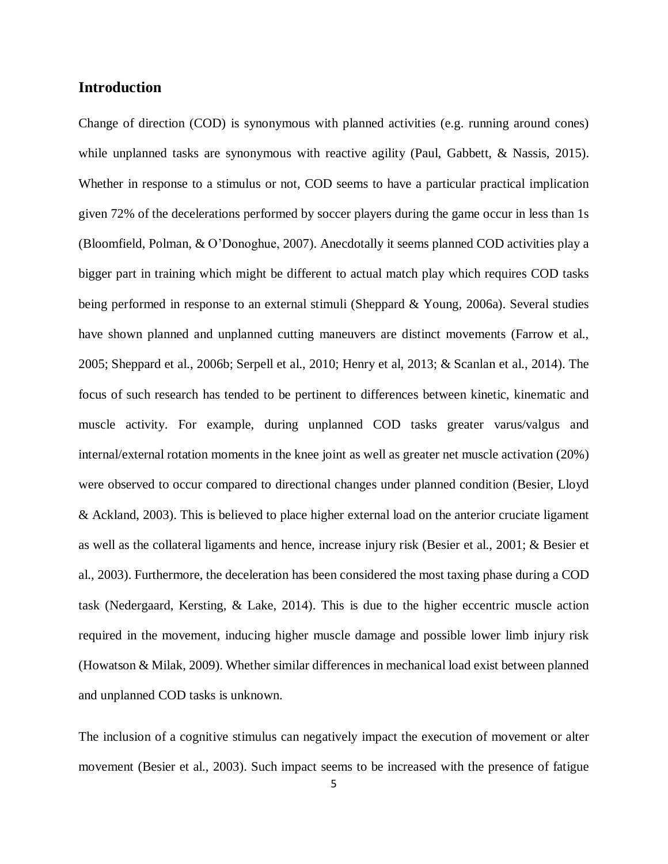#### <span id="page-5-0"></span>**Introduction**

Change of direction (COD) is synonymous with planned activities (e.g. running around cones) while unplanned tasks are synonymous with reactive agility (Paul, Gabbett, & Nassis, 2015). Whether in response to a stimulus or not, COD seems to have a particular practical implication given 72% of the decelerations performed by soccer players during the game occur in less than 1s (Bloomfield, Polman, & O'Donoghue, 2007). Anecdotally it seems planned COD activities play a bigger part in training which might be different to actual match play which requires COD tasks being performed in response to an external stimuli (Sheppard & Young, 2006a). Several studies have shown planned and unplanned cutting maneuvers are distinct movements (Farrow et al., 2005; Sheppard et al., 2006b; Serpell et al., 2010; Henry et al, 2013; & Scanlan et al., 2014). The focus of such research has tended to be pertinent to differences between kinetic, kinematic and muscle activity. For example, during unplanned COD tasks greater varus/valgus and internal/external rotation moments in the knee joint as well as greater net muscle activation (20%) were observed to occur compared to directional changes under planned condition (Besier, Lloyd & Ackland, 2003). This is believed to place higher external load on the anterior cruciate ligament as well as the collateral ligaments and hence, increase injury risk (Besier et al., 2001; & Besier et al., 2003). Furthermore, the deceleration has been considered the most taxing phase during a COD task (Nedergaard, Kersting, & Lake, 2014). This is due to the higher eccentric muscle action required in the movement, inducing higher muscle damage and possible lower limb injury risk (Howatson & Milak, 2009). Whether similar differences in mechanical load exist between planned and unplanned COD tasks is unknown.

The inclusion of a cognitive stimulus can negatively impact the execution of movement or alter movement (Besier et al., 2003). Such impact seems to be increased with the presence of fatigue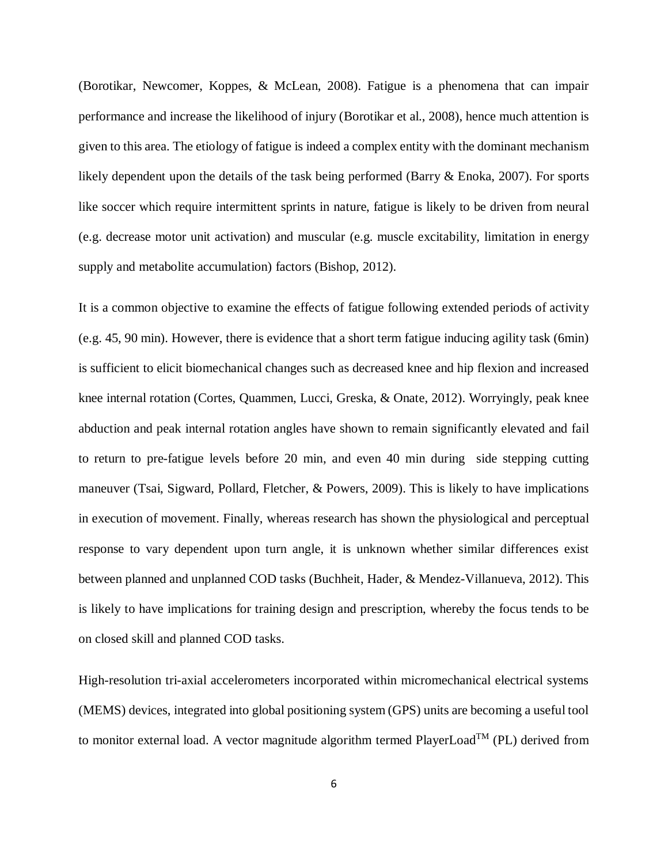(Borotikar, Newcomer, Koppes, & McLean, 2008). Fatigue is a phenomena that can impair performance and increase the likelihood of injury (Borotikar et al., 2008), hence much attention is given to this area. The etiology of fatigue is indeed a complex entity with the dominant mechanism likely dependent upon the details of the task being performed (Barry & Enoka, 2007). For sports like soccer which require intermittent sprints in nature, fatigue is likely to be driven from neural (e.g. decrease motor unit activation) and muscular (e.g. muscle excitability, limitation in energy supply and metabolite accumulation) factors (Bishop, 2012).

It is a common objective to examine the effects of fatigue following extended periods of activity (e.g. 45, 90 min). However, there is evidence that a short term fatigue inducing agility task (6min) is sufficient to elicit biomechanical changes such as decreased knee and hip flexion and increased knee internal rotation (Cortes, Quammen, Lucci, Greska, & Onate, 2012). Worryingly, peak knee abduction and peak internal rotation angles have shown to remain significantly elevated and fail to return to pre-fatigue levels before 20 min, and even 40 min during side stepping cutting maneuver (Tsai, Sigward, Pollard, Fletcher, & Powers, 2009). This is likely to have implications in execution of movement. Finally, whereas research has shown the physiological and perceptual response to vary dependent upon turn angle, it is unknown whether similar differences exist between planned and unplanned COD tasks (Buchheit, Hader, & Mendez-Villanueva, 2012). This is likely to have implications for training design and prescription, whereby the focus tends to be on closed skill and planned COD tasks.

High-resolution tri-axial accelerometers incorporated within micromechanical electrical systems (MEMS) devices, integrated into global positioning system (GPS) units are becoming a useful tool to monitor external load. A vector magnitude algorithm termed  $PlayerLoad^{TM} (PL)$  derived from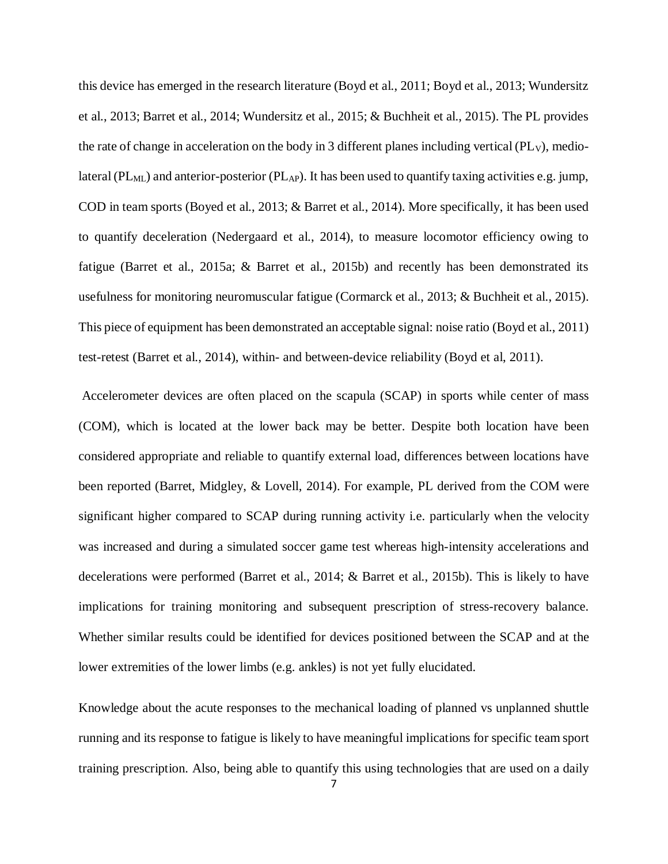this device has emerged in the research literature (Boyd et al., 2011; Boyd et al., 2013; Wundersitz et al., 2013; Barret et al., 2014; Wundersitz et al., 2015; & Buchheit et al., 2015). The PL provides the rate of change in acceleration on the body in 3 different planes including vertical  $(PL<sub>V</sub>)$ , mediolateral ( $PL_{ML}$ ) and anterior-posterior ( $PL_{AP}$ ). It has been used to quantify taxing activities e.g. jump, COD in team sports (Boyed et al., 2013; & Barret et al., 2014). More specifically, it has been used to quantify deceleration (Nedergaard et al., 2014), to measure locomotor efficiency owing to fatigue (Barret et al., 2015a; & Barret et al., 2015b) and recently has been demonstrated its usefulness for monitoring neuromuscular fatigue (Cormarck et al., 2013; & Buchheit et al., 2015). This piece of equipment has been demonstrated an acceptable signal: noise ratio (Boyd et al., 2011) test-retest (Barret et al., 2014), within- and between-device reliability (Boyd et al, 2011).

Accelerometer devices are often placed on the scapula (SCAP) in sports while center of mass (COM), which is located at the lower back may be better. Despite both location have been considered appropriate and reliable to quantify external load, differences between locations have been reported (Barret, Midgley, & Lovell, 2014). For example, PL derived from the COM were significant higher compared to SCAP during running activity i.e. particularly when the velocity was increased and during a simulated soccer game test whereas high-intensity accelerations and decelerations were performed (Barret et al., 2014; & Barret et al., 2015b). This is likely to have implications for training monitoring and subsequent prescription of stress-recovery balance. Whether similar results could be identified for devices positioned between the SCAP and at the lower extremities of the lower limbs (e.g. ankles) is not yet fully elucidated.

Knowledge about the acute responses to the mechanical loading of planned vs unplanned shuttle running and its response to fatigue is likely to have meaningful implications for specific team sport training prescription. Also, being able to quantify this using technologies that are used on a daily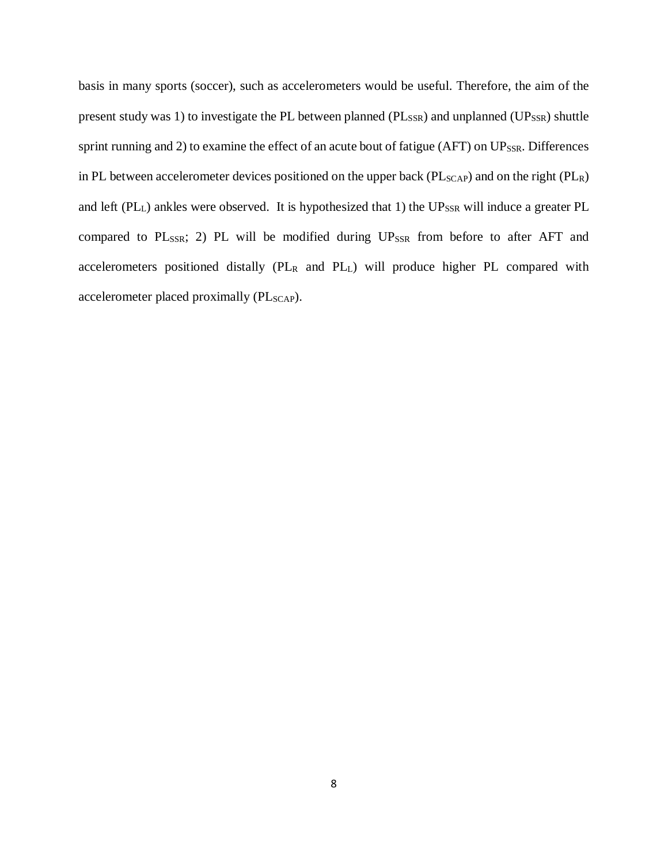basis in many sports (soccer), such as accelerometers would be useful. Therefore, the aim of the present study was 1) to investigate the PL between planned ( $PL_{SSR}$ ) and unplanned ( $UP_{SSR}$ ) shuttle sprint running and 2) to examine the effect of an acute bout of fatigue (AFT) on  $UP_{SSR}$ . Differences in PL between accelerometer devices positioned on the upper back ( $PL_{SCAP}$ ) and on the right ( $PL<sub>R</sub>$ ) and left (PL<sub>L</sub>) ankles were observed. It is hypothesized that 1) the UP<sub>SSR</sub> will induce a greater PL compared to  $PL_{SSR}$ ; 2) PL will be modified during  $UP_{SSR}$  from before to after AFT and accelerometers positioned distally (PL<sup>R</sup> and PLL) will produce higher PL compared with accelerometer placed proximally (PL<sub>SCAP</sub>).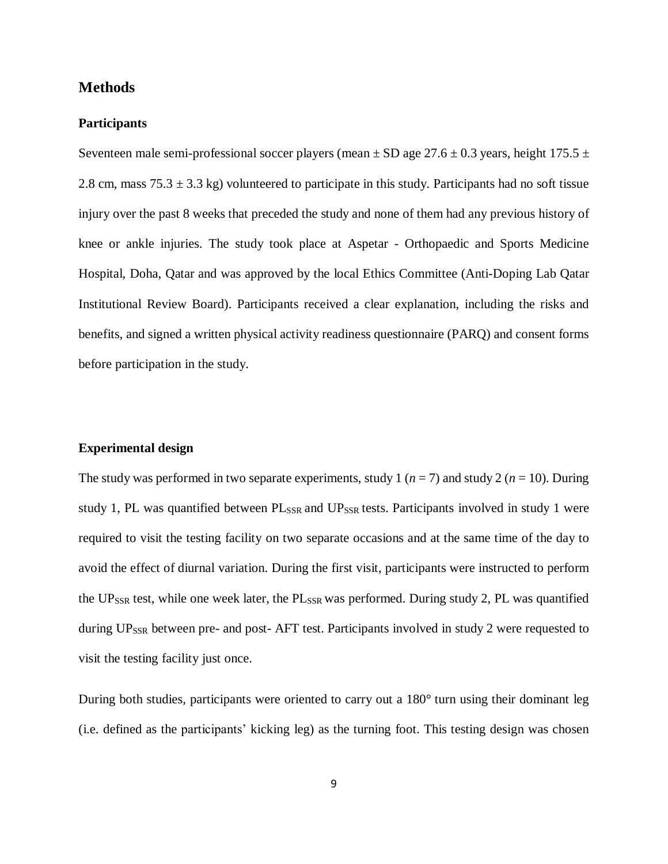#### <span id="page-9-0"></span>**Methods**

#### <span id="page-9-1"></span>**Participants**

Seventeen male semi-professional soccer players (mean  $\pm$  SD age 27.6  $\pm$  0.3 years, height 175.5  $\pm$ 2.8 cm, mass  $75.3 \pm 3.3$  kg) volunteered to participate in this study. Participants had no soft tissue injury over the past 8 weeks that preceded the study and none of them had any previous history of knee or ankle injuries. The study took place at Aspetar - Orthopaedic and Sports Medicine Hospital, Doha, Qatar and was approved by the local Ethics Committee (Anti-Doping Lab Qatar Institutional Review Board). Participants received a clear explanation, including the risks and benefits, and signed a written physical activity readiness questionnaire (PARQ) and consent forms before participation in the study.

#### <span id="page-9-2"></span>**Experimental design**

The study was performed in two separate experiments, study 1 ( $n = 7$ ) and study 2 ( $n = 10$ ). During study 1, PL was quantified between PL<sub>SSR</sub> and UP<sub>SSR</sub> tests. Participants involved in study 1 were required to visit the testing facility on two separate occasions and at the same time of the day to avoid the effect of diurnal variation. During the first visit, participants were instructed to perform the UP<sub>SSR</sub> test, while one week later, the  $PL_{SSR}$  was performed. During study 2, PL was quantified during UP<sub>SSR</sub> between pre- and post- AFT test. Participants involved in study 2 were requested to visit the testing facility just once.

During both studies, participants were oriented to carry out a 180° turn using their dominant leg (i.e. defined as the participants' kicking leg) as the turning foot. This testing design was chosen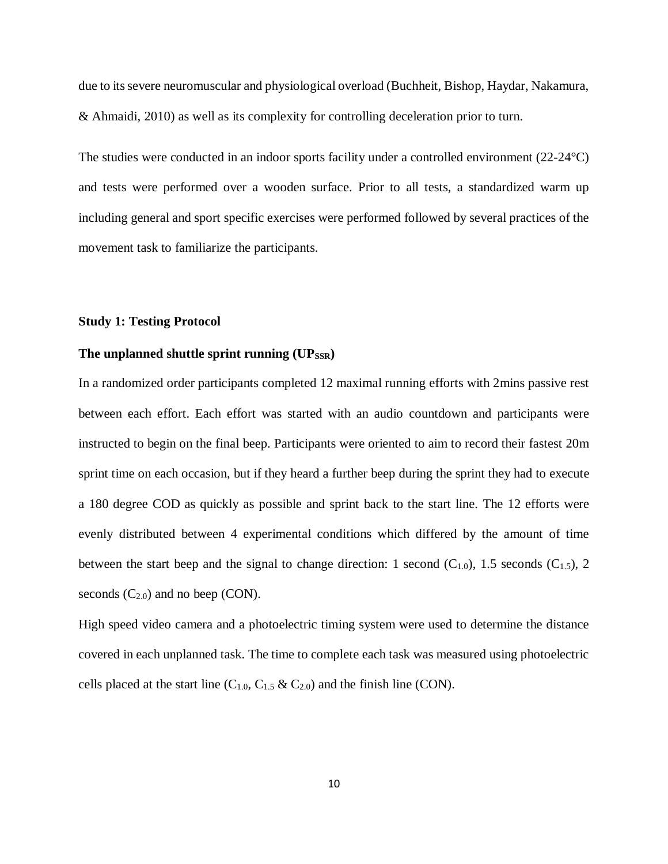due to itssevere neuromuscular and physiological overload (Buchheit, Bishop, Haydar, Nakamura, & Ahmaidi, 2010) as well as its complexity for controlling deceleration prior to turn.

The studies were conducted in an indoor sports facility under a controlled environment (22-24°C) and tests were performed over a wooden surface. Prior to all tests, a standardized warm up including general and sport specific exercises were performed followed by several practices of the movement task to familiarize the participants.

#### <span id="page-10-0"></span>**Study 1: Testing Protocol**

## <span id="page-10-1"></span>The unplanned shuttle sprint running (UP<sub>SSR</sub>)

In a randomized order participants completed 12 maximal running efforts with 2mins passive rest between each effort. Each effort was started with an audio countdown and participants were instructed to begin on the final beep. Participants were oriented to aim to record their fastest 20m sprint time on each occasion, but if they heard a further beep during the sprint they had to execute a 180 degree COD as quickly as possible and sprint back to the start line. The 12 efforts were evenly distributed between 4 experimental conditions which differed by the amount of time between the start beep and the signal to change direction: 1 second  $(C_{1,0})$ , 1.5 seconds  $(C_{1,5})$ , 2 seconds  $(C_{2.0})$  and no beep  $(CON)$ .

High speed video camera and a photoelectric timing system were used to determine the distance covered in each unplanned task. The time to complete each task was measured using photoelectric cells placed at the start line  $(C_{1,0}, C_{1,5} \& C_{2,0})$  and the finish line (CON).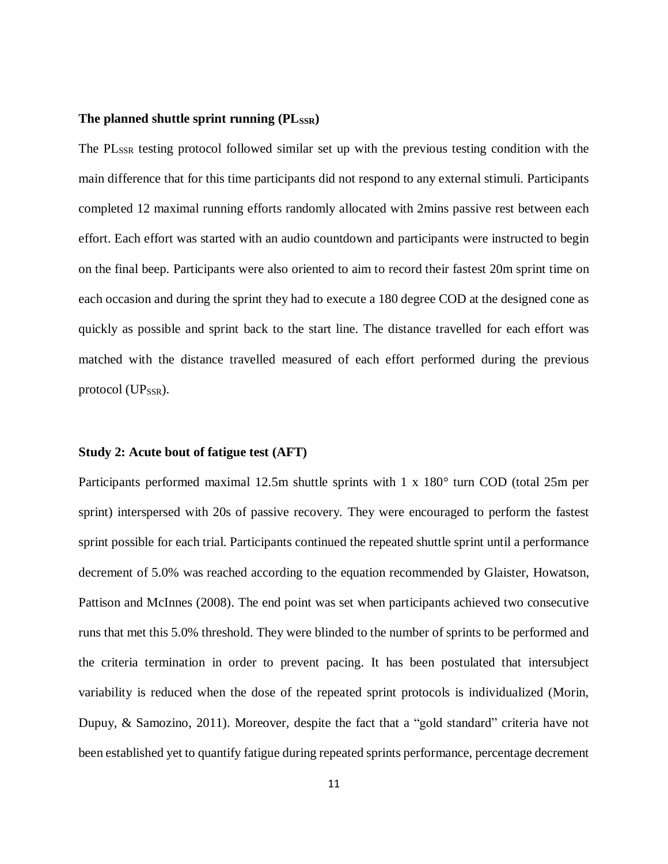#### <span id="page-11-0"></span>The planned shuttle sprint running ( $PL_{SSR}$ )

The PL<sub>SSR</sub> testing protocol followed similar set up with the previous testing condition with the main difference that for this time participants did not respond to any external stimuli. Participants completed 12 maximal running efforts randomly allocated with 2mins passive rest between each effort. Each effort was started with an audio countdown and participants were instructed to begin on the final beep. Participants were also oriented to aim to record their fastest 20m sprint time on each occasion and during the sprint they had to execute a 180 degree COD at the designed cone as quickly as possible and sprint back to the start line. The distance travelled for each effort was matched with the distance travelled measured of each effort performed during the previous protocol (UP<sub>SSR</sub>).

#### <span id="page-11-1"></span>**Study 2: Acute bout of fatigue test (AFT)**

Participants performed maximal 12.5m shuttle sprints with 1 x 180° turn COD (total 25m per sprint) interspersed with 20s of passive recovery. They were encouraged to perform the fastest sprint possible for each trial. Participants continued the repeated shuttle sprint until a performance decrement of 5.0% was reached according to the equation recommended by Glaister, Howatson, Pattison and McInnes (2008). The end point was set when participants achieved two consecutive runs that met this 5.0% threshold. They were blinded to the number of sprints to be performed and the criteria termination in order to prevent pacing. It has been postulated that intersubject variability is reduced when the dose of the repeated sprint protocols is individualized (Morin, Dupuy, & Samozino, 2011). Moreover, despite the fact that a "gold standard" criteria have not been established yet to quantify fatigue during repeated sprints performance, percentage decrement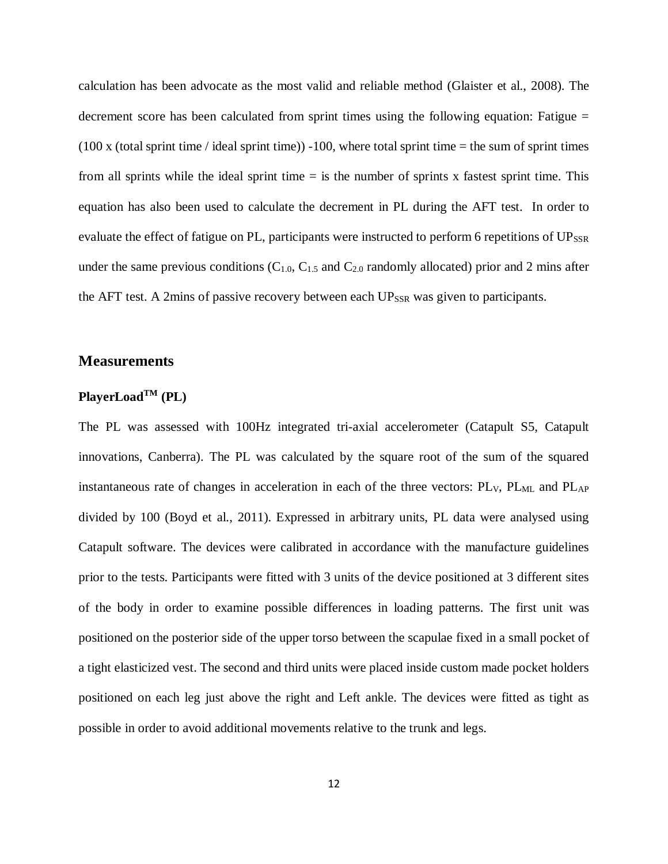calculation has been advocate as the most valid and reliable method (Glaister et al., 2008). The decrement score has been calculated from sprint times using the following equation: Fatigue =  $(100 \times$  (total sprint time / ideal sprint time)) -100, where total sprint time = the sum of sprint times from all sprints while the ideal sprint time  $=$  is the number of sprints x fastest sprint time. This equation has also been used to calculate the decrement in PL during the AFT test. In order to evaluate the effect of fatigue on PL, participants were instructed to perform 6 repetitions of UP<sub>SSR</sub> under the same previous conditions  $(C_{1.0}, C_{1.5}$  and  $C_{2.0}$  randomly allocated) prior and 2 mins after the AFT test. A 2mins of passive recovery between each UP<sub>SSR</sub> was given to participants.

#### <span id="page-12-0"></span>**Measurements**

### <span id="page-12-1"></span>**PlayerLoadTM (PL)**

The PL was assessed with 100Hz integrated tri-axial accelerometer (Catapult S5, Catapult innovations, Canberra). The PL was calculated by the square root of the sum of the squared instantaneous rate of changes in acceleration in each of the three vectors: PL<sub>V</sub>, PL<sub>ML</sub> and PL<sub>AP</sub> divided by 100 (Boyd et al., 2011). Expressed in arbitrary units, PL data were analysed using Catapult software. The devices were calibrated in accordance with the manufacture guidelines prior to the tests. Participants were fitted with 3 units of the device positioned at 3 different sites of the body in order to examine possible differences in loading patterns. The first unit was positioned on the posterior side of the upper torso between the scapulae fixed in a small pocket of a tight elasticized vest. The second and third units were placed inside custom made pocket holders positioned on each leg just above the right and Left ankle. The devices were fitted as tight as possible in order to avoid additional movements relative to the trunk and legs.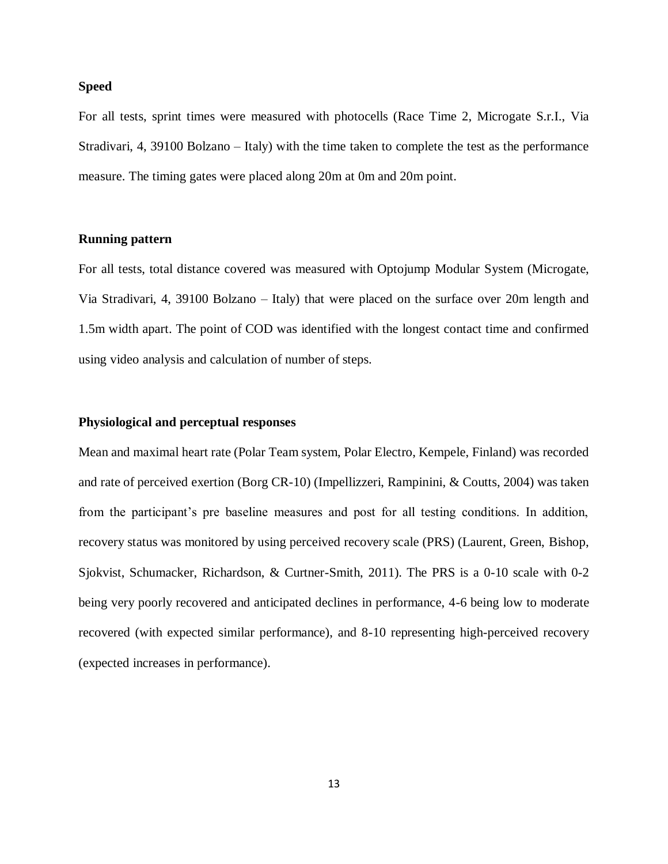#### <span id="page-13-0"></span>**Speed**

For all tests, sprint times were measured with photocells (Race Time 2, Microgate S.r.I., Via Stradivari, 4, 39100 Bolzano – Italy) with the time taken to complete the test as the performance measure. The timing gates were placed along 20m at 0m and 20m point.

#### <span id="page-13-1"></span>**Running pattern**

For all tests, total distance covered was measured with Optojump Modular System (Microgate, Via Stradivari, 4, 39100 Bolzano – Italy) that were placed on the surface over 20m length and 1.5m width apart. The point of COD was identified with the longest contact time and confirmed using video analysis and calculation of number of steps.

#### <span id="page-13-2"></span>**Physiological and perceptual responses**

Mean and maximal heart rate (Polar Team system, Polar Electro, Kempele, Finland) was recorded and rate of perceived exertion (Borg CR-10) (Impellizzeri, Rampinini, & Coutts, 2004) was taken from the participant's pre baseline measures and post for all testing conditions. In addition, recovery status was monitored by using perceived recovery scale (PRS) (Laurent, Green, Bishop, Sjokvist, Schumacker, Richardson, & Curtner-Smith, 2011). The PRS is a 0-10 scale with 0-2 being very poorly recovered and anticipated declines in performance, 4-6 being low to moderate recovered (with expected similar performance), and 8-10 representing high-perceived recovery (expected increases in performance).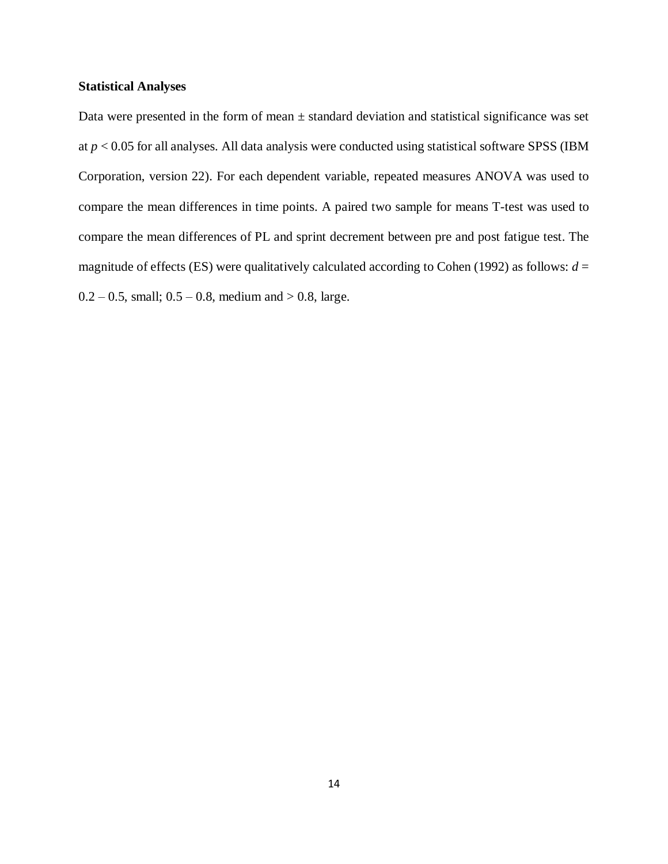#### <span id="page-14-0"></span>**Statistical Analyses**

Data were presented in the form of mean ± standard deviation and statistical significance was set at *p* < 0.05 for all analyses. All data analysis were conducted using statistical software SPSS (IBM Corporation, version 22). For each dependent variable, repeated measures ANOVA was used to compare the mean differences in time points. A paired two sample for means T-test was used to compare the mean differences of PL and sprint decrement between pre and post fatigue test. The magnitude of effects (ES) were qualitatively calculated according to Cohen (1992) as follows:  $d =$  $0.2 - 0.5$ , small;  $0.5 - 0.8$ , medium and  $> 0.8$ , large.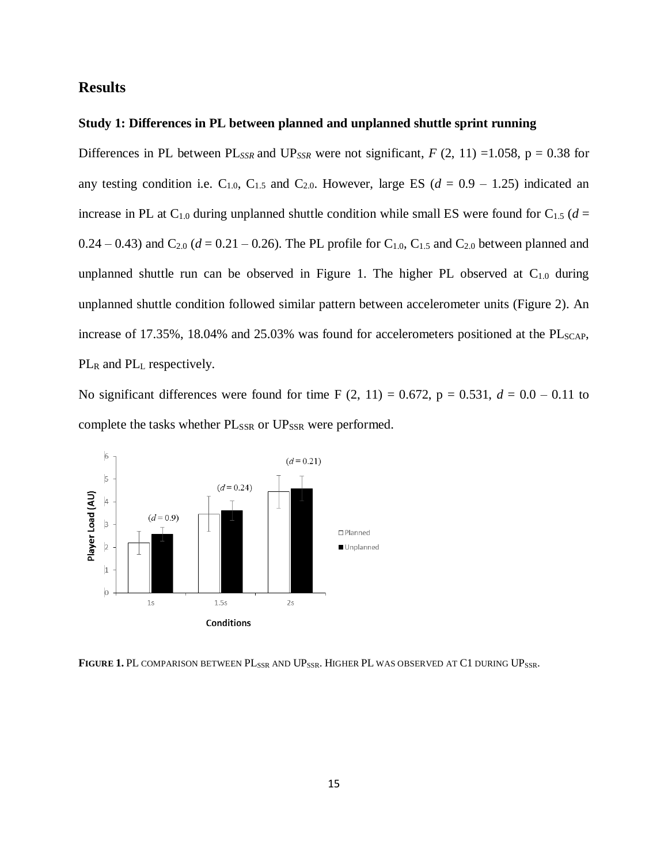## <span id="page-15-0"></span>**Results**

#### <span id="page-15-1"></span>**Study 1: Differences in PL between planned and unplanned shuttle sprint running**

Differences in PL between PL<sub>SSR</sub> and UP<sub>SSR</sub> were not significant,  $F(2, 11) = 1.058$ ,  $p = 0.38$  for any testing condition i.e.  $C_{1.0}$ ,  $C_{1.5}$  and  $C_{2.0}$ . However, large ES ( $d = 0.9 - 1.25$ ) indicated an increase in PL at C<sub>1.0</sub> during unplanned shuttle condition while small ES were found for C<sub>1.5</sub> ( $d =$  $0.24 - 0.43$ ) and C<sub>2.0</sub> ( $d = 0.21 - 0.26$ ). The PL profile for C<sub>1.0</sub>, C<sub>1.5</sub> and C<sub>2.0</sub> between planned and unplanned shuttle run can be observed in Figure 1. The higher PL observed at  $C_{1,0}$  during unplanned shuttle condition followed similar pattern between accelerometer units (Figure 2). An increase of  $17.35\%$ ,  $18.04\%$  and  $25.03\%$  was found for accelerometers positioned at the PL<sub>SCAP</sub>, PL<sub>R</sub> and PL<sub>L</sub> respectively.

No significant differences were found for time F  $(2, 11) = 0.672$ ,  $p = 0.531$ ,  $d = 0.0 - 0.11$  to complete the tasks whether PL<sub>SSR</sub> or UP<sub>SSR</sub> were performed.



<span id="page-15-2"></span>FIGURE 1. PL COMPARISON BETWEEN PL<sub>SSR</sub> AND UP<sub>SSR</sub>. HIGHER PL WAS OBSERVED AT C1 DURING UP<sub>SSR</sub>.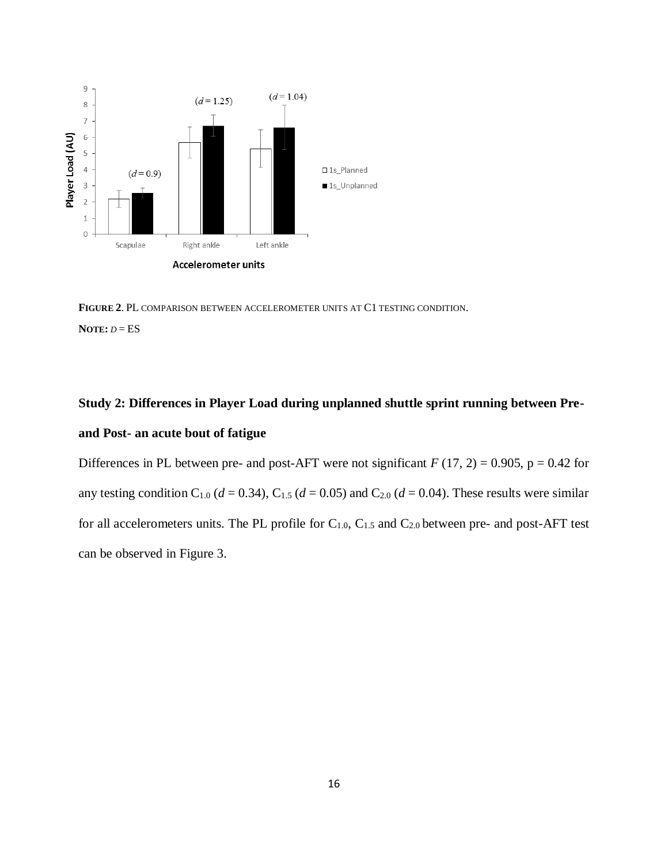

<span id="page-16-1"></span>**FIGURE 2**. PL COMPARISON BETWEEN ACCELEROMETER UNITS AT C1 TESTING CONDITION. **NOTE:** *D* = ES

## <span id="page-16-0"></span>**Study 2: Differences in Player Load during unplanned shuttle sprint running between Preand Post- an acute bout of fatigue**

Differences in PL between pre- and post-AFT were not significant  $F(17, 2) = 0.905$ ,  $p = 0.42$  for any testing condition C<sub>1.0</sub> ( $d = 0.34$ ), C<sub>1.5</sub> ( $d = 0.05$ ) and C<sub>2.0</sub> ( $d = 0.04$ ). These results were similar for all accelerometers units. The PL profile for  $C_{1.0}$ ,  $C_{1.5}$  and  $C_{2.0}$  between pre- and post-AFT test can be observed in Figure 3.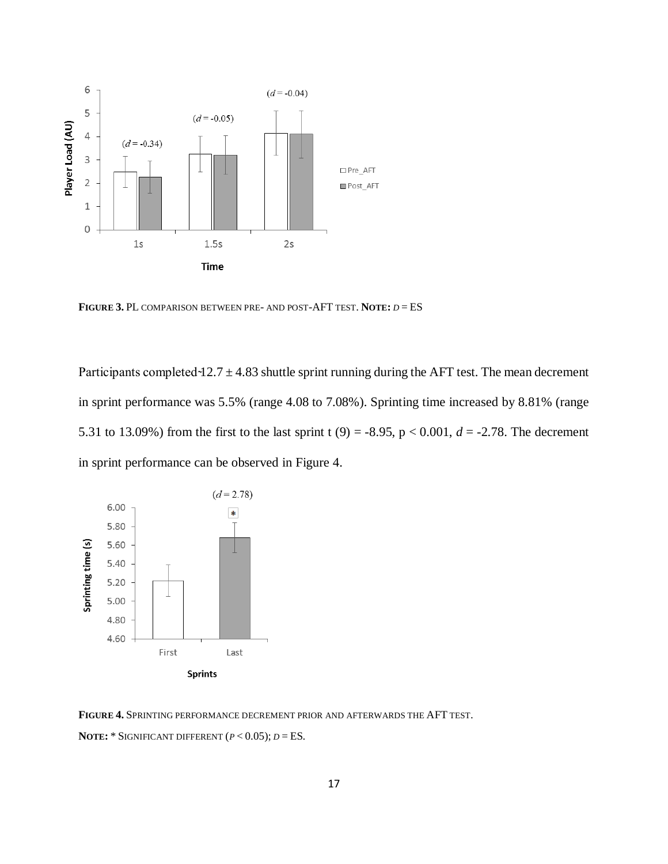

<span id="page-17-0"></span>**FIGURE 3.** PL COMPARISON BETWEEN PRE- AND POST-AFT TEST. **NOTE:** *D* = ES

Participants completed  $-12.7 \pm 4.83$  shuttle sprint running during the AFT test. The mean decrement in sprint performance was 5.5% (range 4.08 to 7.08%). Sprinting time increased by 8.81% (range 5.31 to 13.09%) from the first to the last sprint t (9) = -8.95, p < 0.001,  $d = -2.78$ . The decrement in sprint performance can be observed in Figure 4.



<span id="page-17-1"></span>**FIGURE 4.** SPRINTING PERFORMANCE DECREMENT PRIOR AND AFTERWARDS THE AFT TEST. **NOTE:** \* SIGNIFICANT DIFFERENT  $(P < 0.05)$ ;  $D = ES$ .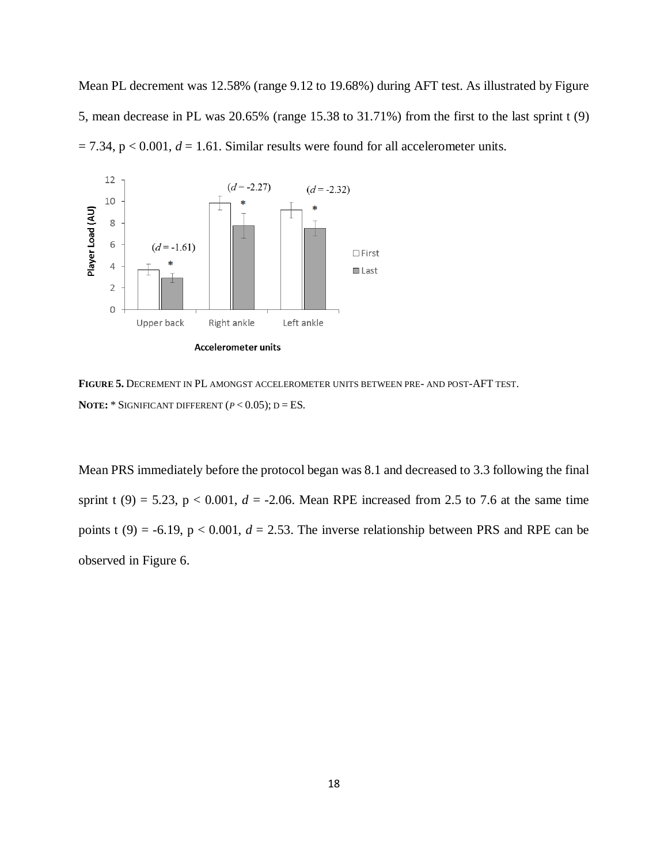Mean PL decrement was 12.58% (range 9.12 to 19.68%) during AFT test. As illustrated by Figure 5, mean decrease in PL was 20.65% (range 15.38 to 31.71%) from the first to the last sprint t (9)  $= 7.34$ ,  $p < 0.001$ ,  $d = 1.61$ . Similar results were found for all accelerometer units.



<span id="page-18-0"></span>**FIGURE 5.** DECREMENT IN PL AMONGST ACCELEROMETER UNITS BETWEEN PRE- AND POST-AFT TEST. **NOTE:** \* SIGNIFICANT DIFFERENT  $(P < 0.05)$ ; D = ES.

Mean PRS immediately before the protocol began was 8.1 and decreased to 3.3 following the final sprint t (9) = 5.23,  $p < 0.001$ ,  $d = -2.06$ . Mean RPE increased from 2.5 to 7.6 at the same time points t (9) = -6.19,  $p < 0.001$ ,  $d = 2.53$ . The inverse relationship between PRS and RPE can be observed in Figure 6.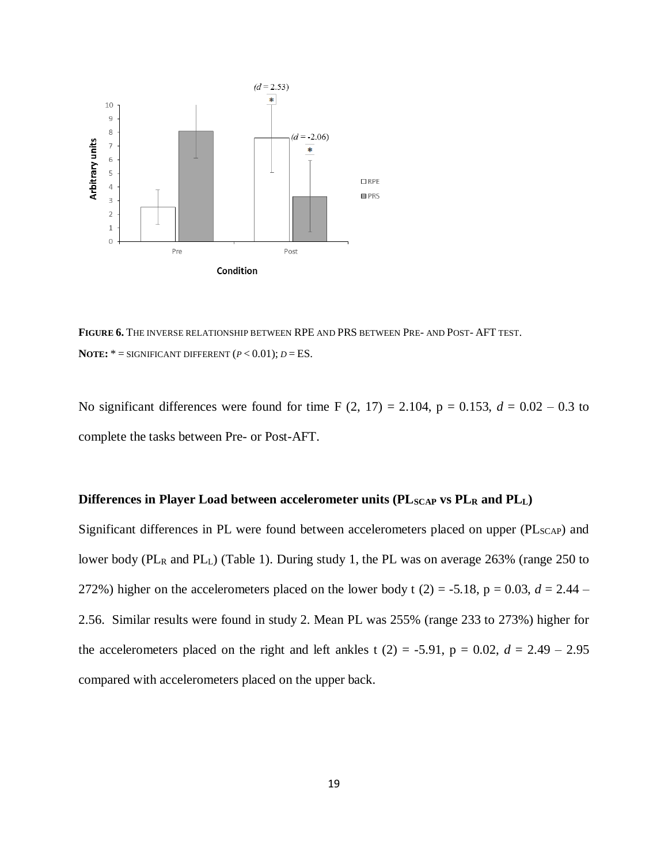

<span id="page-19-1"></span>**FIGURE 6.** THE INVERSE RELATIONSHIP BETWEEN RPE AND PRS BETWEEN PRE- AND POST- AFT TEST. **NOTE:**  $* =$  SIGNIFICANT DIFFERENT  $(P < 0.01)$ ;  $D = ES$ .

No significant differences were found for time F  $(2, 17) = 2.104$ ,  $p = 0.153$ ,  $d = 0.02 - 0.3$  to complete the tasks between Pre- or Post-AFT.

#### <span id="page-19-0"></span>Differences in Player Load between accelerometer units (PL<sub>SCAP</sub> vs PL<sub>R</sub> and PL<sub>L</sub>)

<span id="page-19-2"></span>Significant differences in PL were found between accelerometers placed on upper (PL<sub>SCAP</sub>) and lower body (PL<sub>R</sub> and PL<sub>L</sub>) (Table 1). During study 1, the PL was on average 263% (range 250 to 272%) higher on the accelerometers placed on the lower body t (2) = -5.18, p = 0.03,  $d = 2.44$  – 2.56. Similar results were found in study 2. Mean PL was 255% (range 233 to 273%) higher for the accelerometers placed on the right and left ankles t  $(2) = -5.91$ ,  $p = 0.02$ ,  $d = 2.49 - 2.95$ compared with accelerometers placed on the upper back.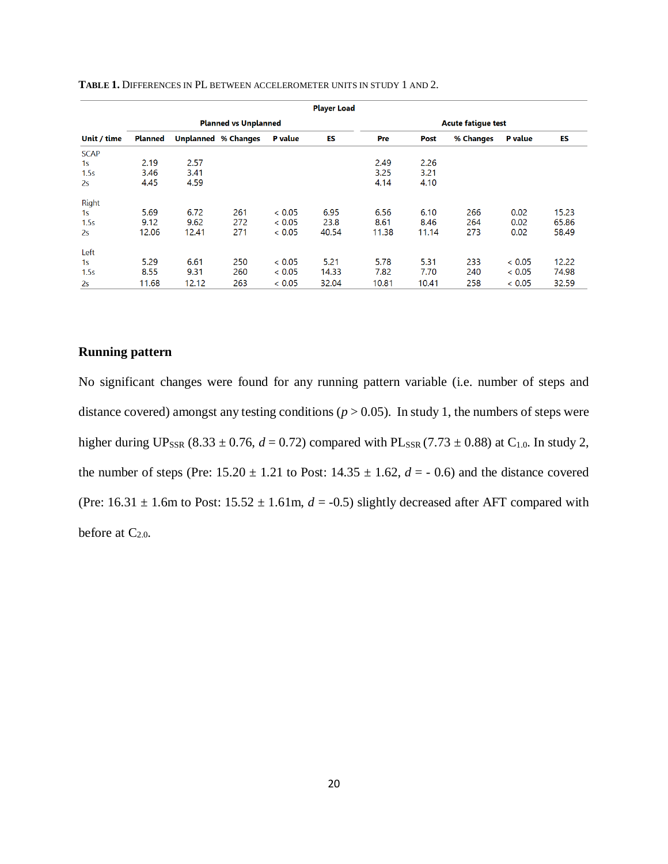| <b>Player Load</b> |                             |       |                            |                |                           |       |       |           |                |       |
|--------------------|-----------------------------|-------|----------------------------|----------------|---------------------------|-------|-------|-----------|----------------|-------|
|                    | <b>Planned vs Unplanned</b> |       |                            |                | <b>Acute fatique test</b> |       |       |           |                |       |
| Unit / time        | <b>Planned</b>              |       | <b>Unplanned % Changes</b> | <b>P</b> value | ES                        | Pre   | Post  | % Changes | <b>P</b> value | ES    |
| <b>SCAP</b>        |                             |       |                            |                |                           |       |       |           |                |       |
| 1 <sub>S</sub>     | 2.19                        | 2.57  |                            |                |                           | 2.49  | 2.26  |           |                |       |
| 1.5s               | 3.46                        | 3.41  |                            |                |                           | 3.25  | 3.21  |           |                |       |
| 2s                 | 4.45                        | 4.59  |                            |                |                           | 4.14  | 4.10  |           |                |       |
| Right              |                             |       |                            |                |                           |       |       |           |                |       |
| 1s                 | 5.69                        | 6.72  | 261                        | < 0.05         | 6.95                      | 6.56  | 6.10  | 266       | 0.02           | 15.23 |
| 1.5s               | 9.12                        | 9.62  | 272                        | < 0.05         | 23.8                      | 8.61  | 8.46  | 264       | 0.02           | 65.86 |
| 2s                 | 12.06                       | 12.41 | 271                        | < 0.05         | 40.54                     | 11.38 | 11.14 | 273       | 0.02           | 58.49 |
| Left               |                             |       |                            |                |                           |       |       |           |                |       |
| 1s                 | 5.29                        | 6.61  | 250                        | < 0.05         | 5.21                      | 5.78  | 5.31  | 233       | < 0.05         | 12.22 |
| 1.5s               | 8.55                        | 9.31  | 260                        | < 0.05         | 14.33                     | 7.82  | 7.70  | 240       | < 0.05         | 74.98 |
| 2s                 | 11.68                       | 12.12 | 263                        | < 0.05         | 32.04                     | 10.81 | 10.41 | 258       | < 0.05         | 32.59 |

**TABLE 1.** DIFFERENCES IN PL BETWEEN ACCELEROMETER UNITS IN STUDY 1 AND 2.

#### <span id="page-20-0"></span>**Running pattern**

No significant changes were found for any running pattern variable (i.e. number of steps and distance covered) amongst any testing conditions ( $p > 0.05$ ). In study 1, the numbers of steps were higher during UP<sub>SSR</sub> (8.33 ± 0.76,  $d = 0.72$ ) compared with PL<sub>SSR</sub> (7.73 ± 0.88) at C<sub>1.0</sub>. In study 2, the number of steps (Pre:  $15.20 \pm 1.21$  to Post:  $14.35 \pm 1.62$ ,  $d = -0.6$ ) and the distance covered (Pre:  $16.31 \pm 1.6$ m to Post:  $15.52 \pm 1.61$ m,  $d = -0.5$ ) slightly decreased after AFT compared with before at  $C_{2.0}$ .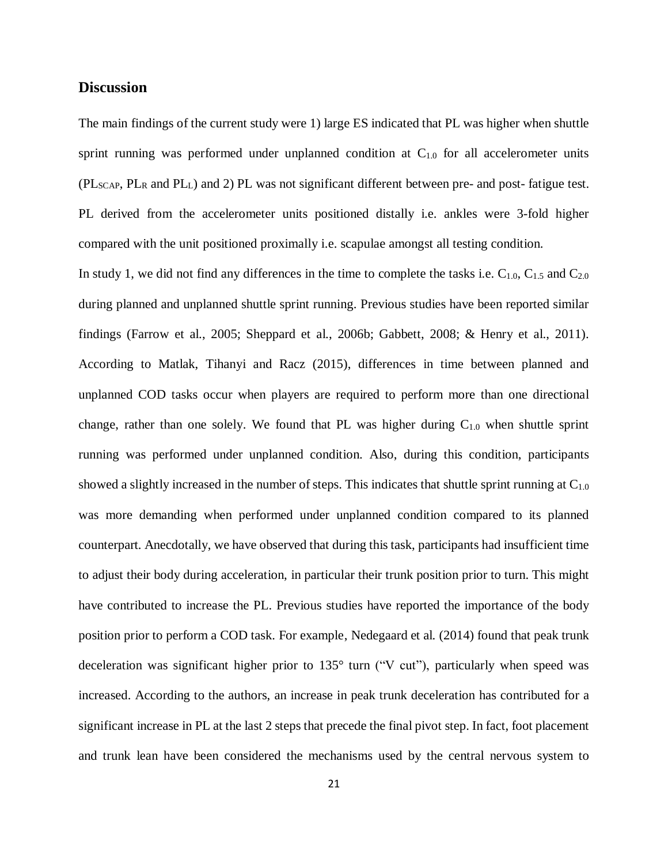#### <span id="page-21-0"></span>**Discussion**

The main findings of the current study were 1) large ES indicated that PL was higher when shuttle sprint running was performed under unplanned condition at  $C_{1,0}$  for all accelerometer units (PLSCAP, PL<sup>R</sup> and PLL) and 2) PL was not significant different between pre- and post- fatigue test. PL derived from the accelerometer units positioned distally i.e. ankles were 3-fold higher compared with the unit positioned proximally i.e. scapulae amongst all testing condition.

In study 1, we did not find any differences in the time to complete the tasks i.e.  $C_{1.0}$ ,  $C_{1.5}$  and  $C_{2.0}$ during planned and unplanned shuttle sprint running. Previous studies have been reported similar findings (Farrow et al., 2005; Sheppard et al., 2006b; Gabbett, 2008; & Henry et al., 2011). According to Matlak, Tihanyi and Racz (2015), differences in time between planned and unplanned COD tasks occur when players are required to perform more than one directional change, rather than one solely. We found that PL was higher during  $C_{1,0}$  when shuttle sprint running was performed under unplanned condition. Also, during this condition, participants showed a slightly increased in the number of steps. This indicates that shuttle sprint running at  $C_{1,0}$ was more demanding when performed under unplanned condition compared to its planned counterpart. Anecdotally, we have observed that during this task, participants had insufficient time to adjust their body during acceleration, in particular their trunk position prior to turn. This might have contributed to increase the PL. Previous studies have reported the importance of the body position prior to perform a COD task. For example, Nedegaard et al. (2014) found that peak trunk deceleration was significant higher prior to 135° turn ("V cut"), particularly when speed was increased. According to the authors, an increase in peak trunk deceleration has contributed for a significant increase in PL at the last 2 steps that precede the final pivot step. In fact, foot placement and trunk lean have been considered the mechanisms used by the central nervous system to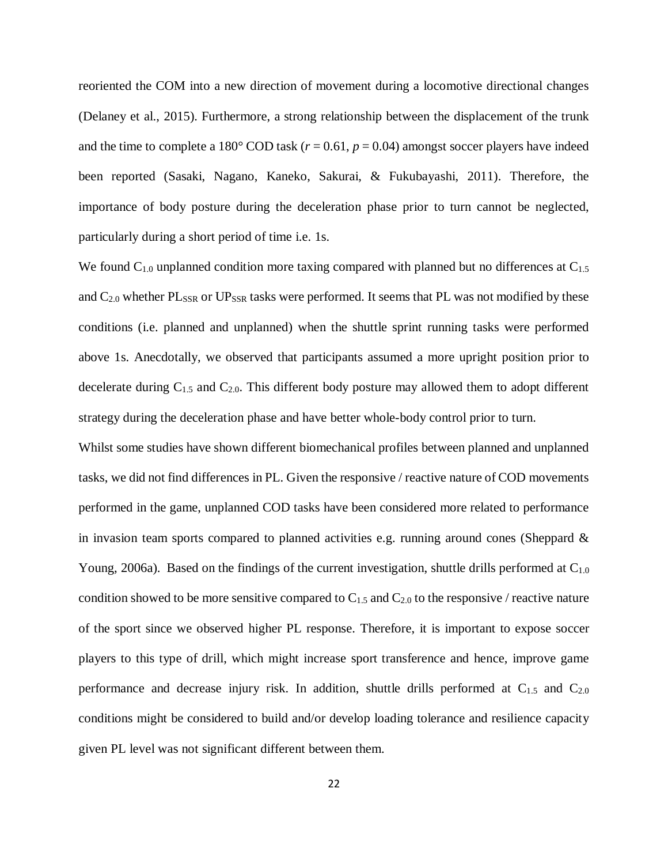reoriented the COM into a new direction of movement during a locomotive directional changes (Delaney et al., 2015). Furthermore, a strong relationship between the displacement of the trunk and the time to complete a 180 $^{\circ}$  COD task ( $r = 0.61$ ,  $p = 0.04$ ) amongst soccer players have indeed been reported (Sasaki, Nagano, Kaneko, Sakurai, & Fukubayashi, 2011). Therefore, the importance of body posture during the deceleration phase prior to turn cannot be neglected, particularly during a short period of time i.e. 1s.

We found  $C_{1,0}$  unplanned condition more taxing compared with planned but no differences at  $C_{1,5}$ and  $C_{2.0}$  whether  $PL_{SSR}$  or  $UP_{SSR}$  tasks were performed. It seems that PL was not modified by these conditions (i.e. planned and unplanned) when the shuttle sprint running tasks were performed above 1s. Anecdotally, we observed that participants assumed a more upright position prior to decelerate during  $C_{1,5}$  and  $C_{2,0}$ . This different body posture may allowed them to adopt different strategy during the deceleration phase and have better whole-body control prior to turn.

Whilst some studies have shown different biomechanical profiles between planned and unplanned tasks, we did not find differences in PL. Given the responsive / reactive nature of COD movements performed in the game, unplanned COD tasks have been considered more related to performance in invasion team sports compared to planned activities e.g. running around cones (Sheppard  $\&$ Young, 2006a). Based on the findings of the current investigation, shuttle drills performed at C<sub>1.0</sub> condition showed to be more sensitive compared to  $C_{1.5}$  and  $C_{2.0}$  to the responsive / reactive nature of the sport since we observed higher PL response. Therefore, it is important to expose soccer players to this type of drill, which might increase sport transference and hence, improve game performance and decrease injury risk. In addition, shuttle drills performed at  $C_{1.5}$  and  $C_{2.0}$ conditions might be considered to build and/or develop loading tolerance and resilience capacity given PL level was not significant different between them.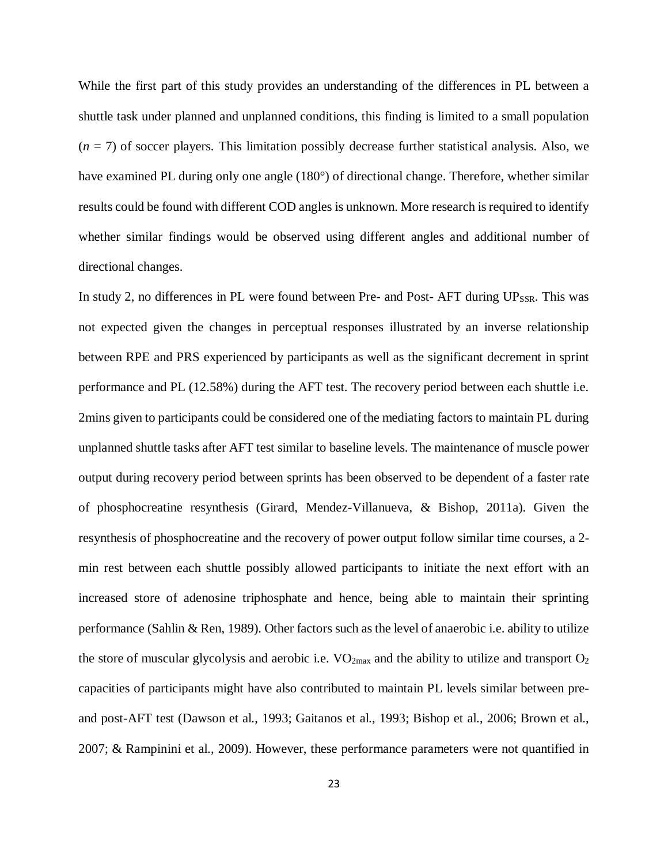While the first part of this study provides an understanding of the differences in PL between a shuttle task under planned and unplanned conditions, this finding is limited to a small population  $(n = 7)$  of soccer players. This limitation possibly decrease further statistical analysis. Also, we have examined PL during only one angle (180°) of directional change. Therefore, whether similar results could be found with different COD angles is unknown. More research isrequired to identify whether similar findings would be observed using different angles and additional number of directional changes.

In study 2, no differences in PL were found between Pre- and Post- AFT during  $UP_{SSR}$ . This was not expected given the changes in perceptual responses illustrated by an inverse relationship between RPE and PRS experienced by participants as well as the significant decrement in sprint performance and PL (12.58%) during the AFT test. The recovery period between each shuttle i.e. 2mins given to participants could be considered one of the mediating factors to maintain PL during unplanned shuttle tasks after AFT test similar to baseline levels. The maintenance of muscle power output during recovery period between sprints has been observed to be dependent of a faster rate of phosphocreatine resynthesis (Girard, Mendez-Villanueva, & Bishop, 2011a). Given the resynthesis of phosphocreatine and the recovery of power output follow similar time courses, a 2 min rest between each shuttle possibly allowed participants to initiate the next effort with an increased store of adenosine triphosphate and hence, being able to maintain their sprinting performance (Sahlin & Ren, 1989). Other factors such as the level of anaerobic i.e. ability to utilize the store of muscular glycolysis and aerobic i.e.  $VO_{2max}$  and the ability to utilize and transport  $O_2$ capacities of participants might have also contributed to maintain PL levels similar between preand post-AFT test (Dawson et al., 1993; Gaitanos et al., 1993; Bishop et al., 2006; Brown et al., 2007; & Rampinini et al., 2009). However, these performance parameters were not quantified in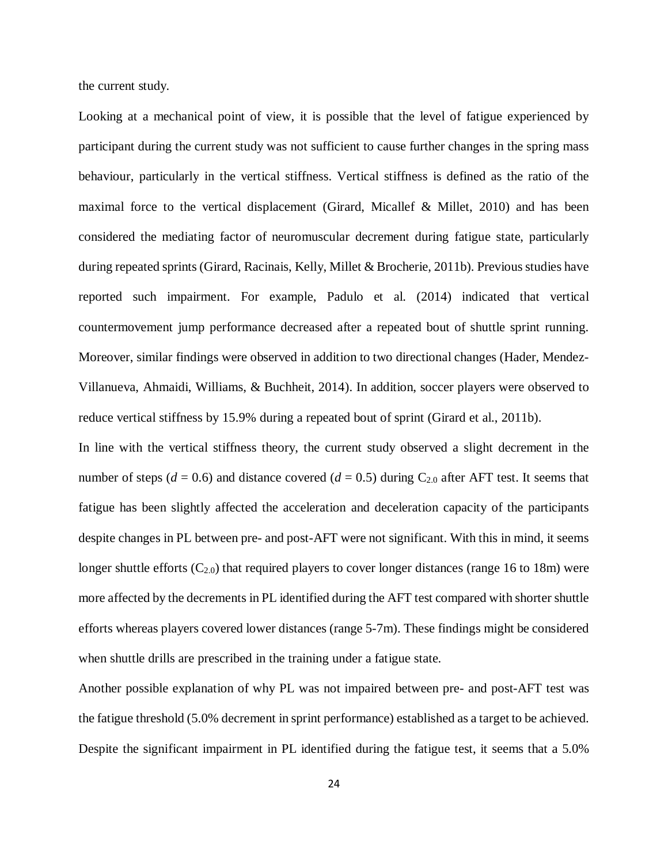the current study.

Looking at a mechanical point of view, it is possible that the level of fatigue experienced by participant during the current study was not sufficient to cause further changes in the spring mass behaviour, particularly in the vertical stiffness. Vertical stiffness is defined as the ratio of the maximal force to the vertical displacement (Girard, Micallef & Millet, 2010) and has been considered the mediating factor of neuromuscular decrement during fatigue state, particularly during repeated sprints (Girard, Racinais, Kelly, Millet & Brocherie, 2011b). Previous studies have reported such impairment. For example, Padulo et al. (2014) indicated that vertical countermovement jump performance decreased after a repeated bout of shuttle sprint running. Moreover, similar findings were observed in addition to two directional changes (Hader, Mendez-Villanueva, Ahmaidi, Williams, & Buchheit, 2014). In addition, soccer players were observed to reduce vertical stiffness by 15.9% during a repeated bout of sprint (Girard et al., 2011b).

In line with the vertical stiffness theory, the current study observed a slight decrement in the number of steps ( $d = 0.6$ ) and distance covered ( $d = 0.5$ ) during C<sub>2.0</sub> after AFT test. It seems that fatigue has been slightly affected the acceleration and deceleration capacity of the participants despite changes in PL between pre- and post-AFT were not significant. With this in mind, it seems longer shuttle efforts  $(C_{2.0})$  that required players to cover longer distances (range 16 to 18m) were more affected by the decrements in PL identified during the AFT test compared with shorter shuttle efforts whereas players covered lower distances (range 5-7m). These findings might be considered when shuttle drills are prescribed in the training under a fatigue state.

Another possible explanation of why PL was not impaired between pre- and post-AFT test was the fatigue threshold (5.0% decrement in sprint performance) established as a target to be achieved. Despite the significant impairment in PL identified during the fatigue test, it seems that a 5.0%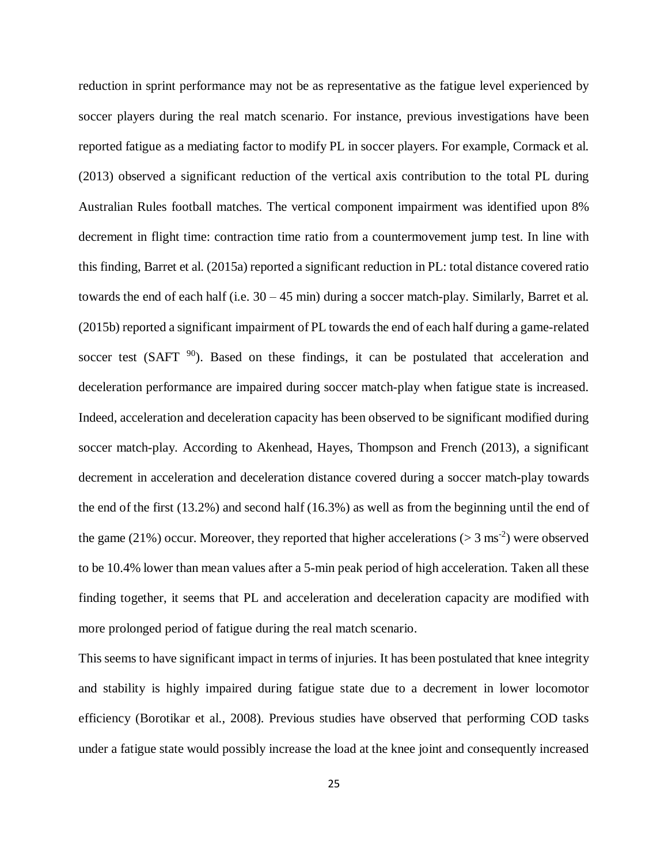reduction in sprint performance may not be as representative as the fatigue level experienced by soccer players during the real match scenario. For instance, previous investigations have been reported fatigue as a mediating factor to modify PL in soccer players. For example, Cormack et al. (2013) observed a significant reduction of the vertical axis contribution to the total PL during Australian Rules football matches. The vertical component impairment was identified upon 8% decrement in flight time: contraction time ratio from a countermovement jump test. In line with this finding, Barret et al. (2015a) reported a significant reduction in PL: total distance covered ratio towards the end of each half (i.e. 30 – 45 min) during a soccer match-play. Similarly, Barret et al.  $(2015b)$  reported a significant impairment of PL towards the end of each half during a game-related soccer test (SAFT  $90$ ). Based on these findings, it can be postulated that acceleration and deceleration performance are impaired during soccer match-play when fatigue state is increased. Indeed, acceleration and deceleration capacity has been observed to be significant modified during soccer match-play. According to Akenhead, Hayes, Thompson and French (2013), a significant decrement in acceleration and deceleration distance covered during a soccer match-play towards the end of the first (13.2%) and second half (16.3%) as well as from the beginning until the end of the game (21%) occur. Moreover, they reported that higher accelerations ( $> 3 \text{ ms}^{-2}$ ) were observed to be 10.4% lower than mean values after a 5-min peak period of high acceleration. Taken all these finding together, it seems that PL and acceleration and deceleration capacity are modified with more prolonged period of fatigue during the real match scenario.

This seems to have significant impact in terms of injuries. It has been postulated that knee integrity and stability is highly impaired during fatigue state due to a decrement in lower locomotor efficiency (Borotikar et al., 2008). Previous studies have observed that performing COD tasks under a fatigue state would possibly increase the load at the knee joint and consequently increased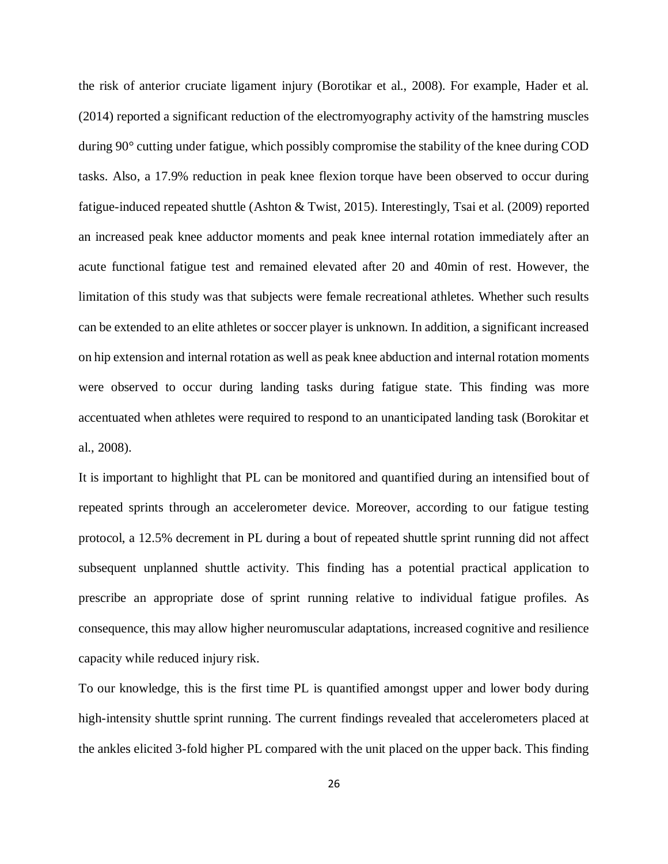the risk of anterior cruciate ligament injury (Borotikar et al., 2008). For example, Hader et al. (2014) reported a significant reduction of the electromyography activity of the hamstring muscles during 90° cutting under fatigue, which possibly compromise the stability of the knee during COD tasks. Also, a 17.9% reduction in peak knee flexion torque have been observed to occur during fatigue-induced repeated shuttle (Ashton & Twist, 2015). Interestingly, Tsai et al. (2009) reported an increased peak knee adductor moments and peak knee internal rotation immediately after an acute functional fatigue test and remained elevated after 20 and 40min of rest. However, the limitation of this study was that subjects were female recreational athletes. Whether such results can be extended to an elite athletes or soccer player is unknown. In addition, a significant increased on hip extension and internal rotation as well as peak knee abduction and internal rotation moments were observed to occur during landing tasks during fatigue state. This finding was more accentuated when athletes were required to respond to an unanticipated landing task (Borokitar et al., 2008).

It is important to highlight that PL can be monitored and quantified during an intensified bout of repeated sprints through an accelerometer device. Moreover, according to our fatigue testing protocol, a 12.5% decrement in PL during a bout of repeated shuttle sprint running did not affect subsequent unplanned shuttle activity. This finding has a potential practical application to prescribe an appropriate dose of sprint running relative to individual fatigue profiles. As consequence, this may allow higher neuromuscular adaptations, increased cognitive and resilience capacity while reduced injury risk.

To our knowledge, this is the first time PL is quantified amongst upper and lower body during high-intensity shuttle sprint running. The current findings revealed that accelerometers placed at the ankles elicited 3-fold higher PL compared with the unit placed on the upper back. This finding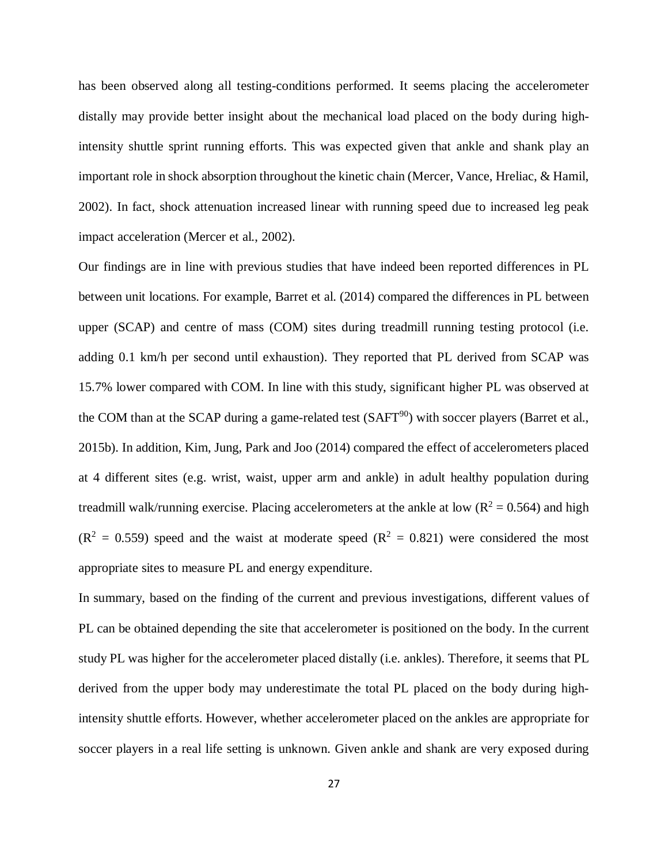has been observed along all testing-conditions performed. It seems placing the accelerometer distally may provide better insight about the mechanical load placed on the body during highintensity shuttle sprint running efforts. This was expected given that ankle and shank play an important role in shock absorption throughout the kinetic chain (Mercer, Vance, Hreliac, & Hamil, 2002). In fact, shock attenuation increased linear with running speed due to increased leg peak impact acceleration (Mercer et al., 2002).

Our findings are in line with previous studies that have indeed been reported differences in PL between unit locations. For example, Barret et al. (2014) compared the differences in PL between upper (SCAP) and centre of mass (COM) sites during treadmill running testing protocol (i.e. adding 0.1 km/h per second until exhaustion). They reported that PL derived from SCAP was 15.7% lower compared with COM. In line with this study, significant higher PL was observed at the COM than at the SCAP during a game-related test  $(SAFT<sup>90</sup>)$  with soccer players (Barret et al., 2015b). In addition, Kim, Jung, Park and Joo (2014) compared the effect of accelerometers placed at 4 different sites (e.g. wrist, waist, upper arm and ankle) in adult healthy population during treadmill walk/running exercise. Placing accelerometers at the ankle at low  $(R^2 = 0.564)$  and high  $(R^2 = 0.559)$  speed and the waist at moderate speed  $(R^2 = 0.821)$  were considered the most appropriate sites to measure PL and energy expenditure.

In summary, based on the finding of the current and previous investigations, different values of PL can be obtained depending the site that accelerometer is positioned on the body. In the current study PL was higher for the accelerometer placed distally (i.e. ankles). Therefore, it seems that PL derived from the upper body may underestimate the total PL placed on the body during highintensity shuttle efforts. However, whether accelerometer placed on the ankles are appropriate for soccer players in a real life setting is unknown. Given ankle and shank are very exposed during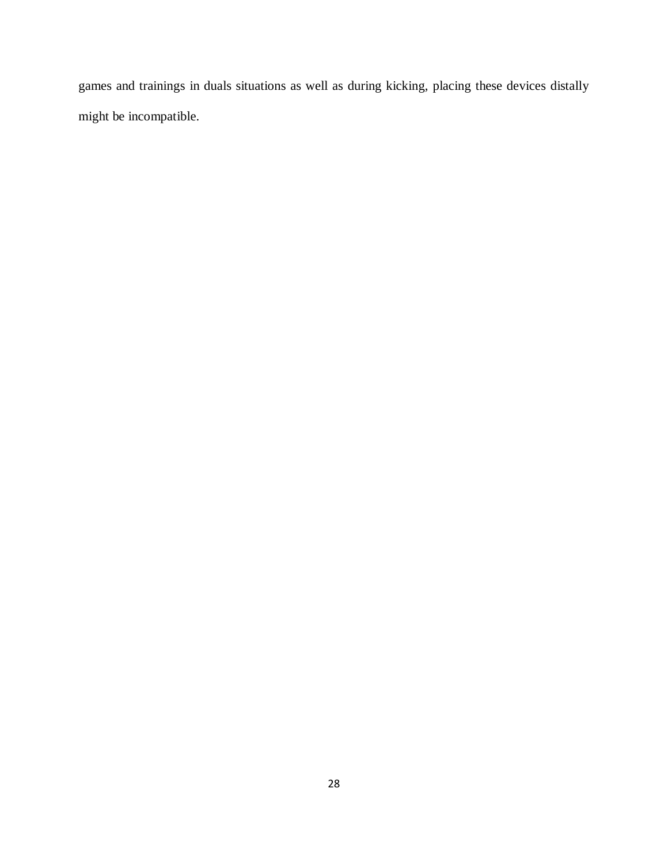games and trainings in duals situations as well as during kicking, placing these devices distally might be incompatible.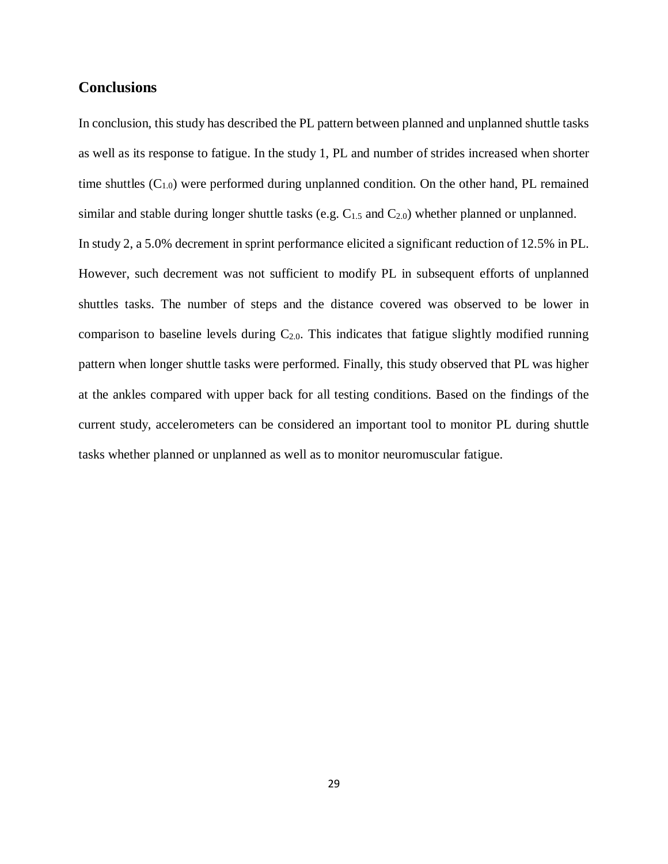## <span id="page-29-0"></span>**Conclusions**

In conclusion, this study has described the PL pattern between planned and unplanned shuttle tasks as well as its response to fatigue. In the study 1, PL and number of strides increased when shorter time shuttles  $(C_{1,0})$  were performed during unplanned condition. On the other hand, PL remained similar and stable during longer shuttle tasks (e.g.  $C_{1.5}$  and  $C_{2.0}$ ) whether planned or unplanned. In study 2, a 5.0% decrement in sprint performance elicited a significant reduction of 12.5% in PL. However, such decrement was not sufficient to modify PL in subsequent efforts of unplanned shuttles tasks. The number of steps and the distance covered was observed to be lower in comparison to baseline levels during  $C_{2,0}$ . This indicates that fatigue slightly modified running pattern when longer shuttle tasks were performed. Finally, this study observed that PL was higher at the ankles compared with upper back for all testing conditions. Based on the findings of the current study, accelerometers can be considered an important tool to monitor PL during shuttle tasks whether planned or unplanned as well as to monitor neuromuscular fatigue.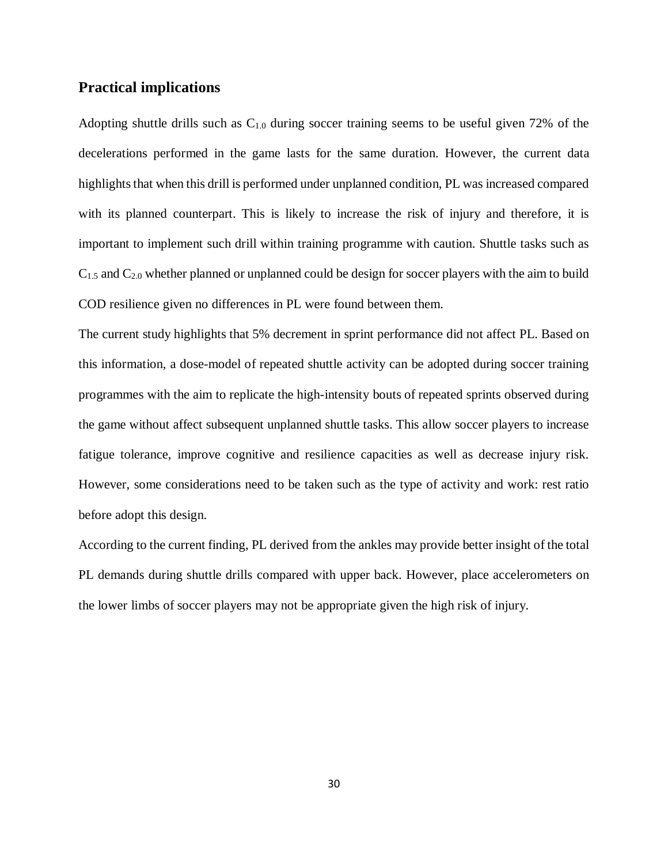#### <span id="page-30-0"></span>**Practical implications**

Adopting shuttle drills such as C1.0 during soccer training seems to be useful given 72% of the decelerations performed in the game lasts for the same duration. However, the current data highlights that when this drill is performed under unplanned condition, PL was increased compared with its planned counterpart. This is likely to increase the risk of injury and therefore, it is important to implement such drill within training programme with caution. Shuttle tasks such as C1.5 and C2.0 whether planned or unplanned could be design for soccer players with the aim to build COD resilience given no differences in PL were found between them.

The current study highlights that 5% decrement in sprint performance did not affect PL. Based on this information, a dose-model of repeated shuttle activity can be adopted during soccer training programmes with the aim to replicate the high-intensity bouts of repeated sprints observed during the game without affect subsequent unplanned shuttle tasks. This allow soccer players to increase fatigue tolerance, improve cognitive and resilience capacities as well as decrease injury risk. However, some considerations need to be taken such as the type of activity and work: rest ratio before adopt this design.

According to the current finding, PL derived from the ankles may provide better insight of the total PL demands during shuttle drills compared with upper back. However, place accelerometers on the lower limbs of soccer players may not be appropriate given the high risk of injury.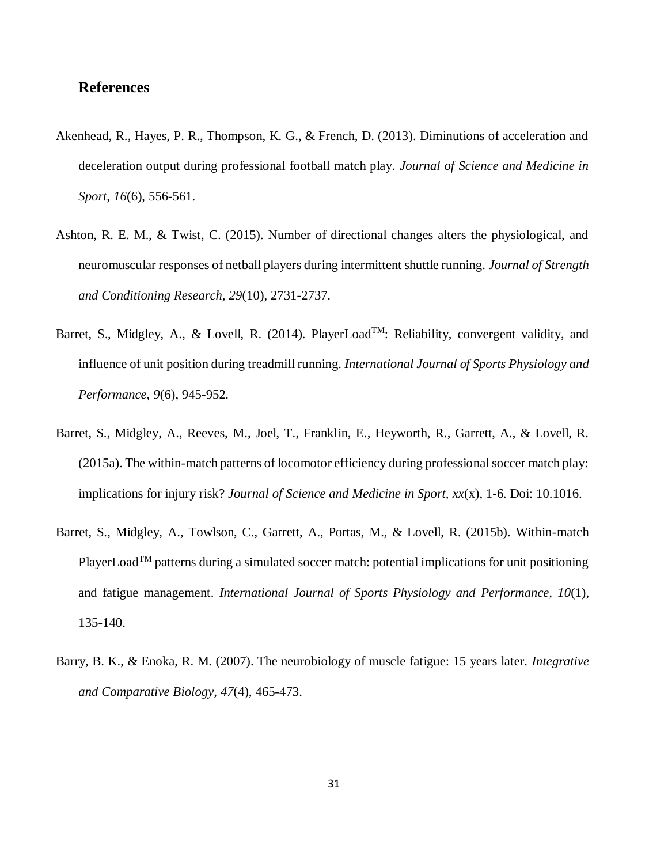### <span id="page-31-0"></span>**References**

- Akenhead, R., Hayes, P. R., Thompson, K. G., & French, D. (2013). Diminutions of acceleration and deceleration output during professional football match play. *Journal of Science and Medicine in Sport, 16*(6), 556-561.
- Ashton, R. E. M., & Twist, C. (2015). Number of directional changes alters the physiological, and neuromuscular responses of netball players during intermittent shuttle running. *Journal of Strength and Conditioning Research, 29*(10), 2731-2737.
- Barret, S., Midgley, A., & Lovell, R. (2014). PlayerLoad<sup>TM</sup>: Reliability, convergent validity, and influence of unit position during treadmill running. *International Journal of Sports Physiology and Performance, 9*(6), 945-952.
- Barret, S., Midgley, A., Reeves, M., Joel, T., Franklin, E., Heyworth, R., Garrett, A., & Lovell, R. (2015a). The within-match patterns of locomotor efficiency during professional soccer match play: implications for injury risk? *Journal of Science and Medicine in Sport, xx*(x), 1-6. Doi: 10.1016.
- Barret, S., Midgley, A., Towlson, C., Garrett, A., Portas, M., & Lovell, R. (2015b). Within-match PlayerLoad<sup>TM</sup> patterns during a simulated soccer match: potential implications for unit positioning and fatigue management. *International Journal of Sports Physiology and Performance, 10*(1), 135-140.
- Barry, B. K., & Enoka, R. M. (2007). The neurobiology of muscle fatigue: 15 years later. *Integrative and Comparative Biology, 47*(4), 465-473.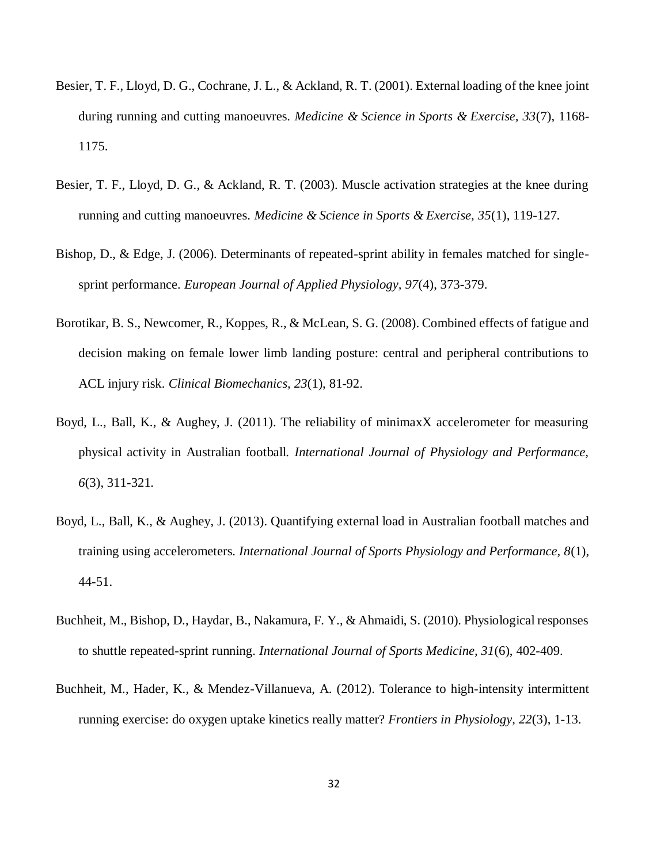- Besier, T. F., Lloyd, D. G., Cochrane, J. L., & Ackland, R. T. (2001). External loading of the knee joint during running and cutting manoeuvres. *Medicine & Science in Sports & Exercise, 33*(7), 1168- 1175.
- Besier, T. F., Lloyd, D. G., & Ackland, R. T. (2003). Muscle activation strategies at the knee during running and cutting manoeuvres. *Medicine & Science in Sports & Exercise, 35*(1), 119-127.
- Bishop, D., & Edge, J. (2006). Determinants of repeated-sprint ability in females matched for singlesprint performance. *European Journal of Applied Physiology, 97*(4), 373-379.
- Borotikar, B. S., Newcomer, R., Koppes, R., & McLean, S. G. (2008). Combined effects of fatigue and decision making on female lower limb landing posture: central and peripheral contributions to ACL injury risk. *Clinical Biomechanics, 23*(1), 81-92.
- Boyd, L., Ball, K., & Aughey, J. (2011). The reliability of minimaxX accelerometer for measuring physical activity in Australian football. *International Journal of Physiology and Performance, 6*(3), 311-321.
- Boyd, L., Ball, K., & Aughey, J. (2013). Quantifying external load in Australian football matches and training using accelerometers. *International Journal of Sports Physiology and Performance, 8*(1), 44-51.
- Buchheit, M., Bishop, D., Haydar, B., Nakamura, F. Y., & Ahmaidi, S. (2010). Physiological responses to shuttle repeated-sprint running. *International Journal of Sports Medicine, 31*(6), 402-409.
- Buchheit, M., Hader, K., & Mendez-Villanueva, A. (2012). Tolerance to high-intensity intermittent running exercise: do oxygen uptake kinetics really matter? *Frontiers in Physiology, 22*(3), 1-13.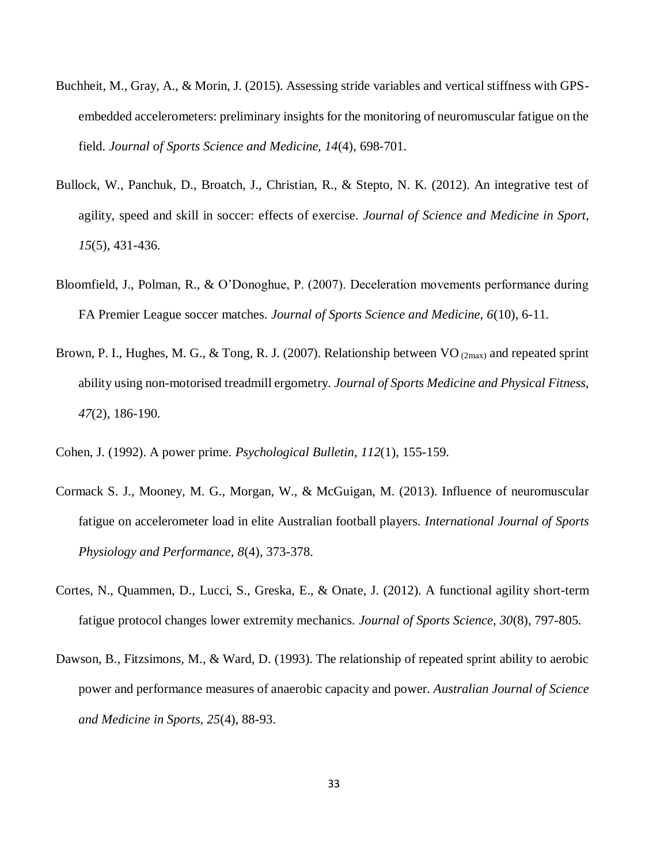- Buchheit, M., Gray, A., & Morin, J. (2015). Assessing stride variables and vertical stiffness with GPSembedded accelerometers: preliminary insights for the monitoring of neuromuscular fatigue on the field. *Journal of Sports Science and Medicine, 14*(4), 698-701.
- Bullock, W., Panchuk, D., Broatch, J., Christian, R., & Stepto, N. K. (2012). An integrative test of agility, speed and skill in soccer: effects of exercise. *Journal of Science and Medicine in Sport, 15*(5), 431-436.
- Bloomfield, J., Polman, R., & O'Donoghue, P. (2007). Deceleration movements performance during FA Premier League soccer matches. *Journal of Sports Science and Medicine, 6*(10), 6-11.
- Brown, P. I., Hughes, M. G., & Tong, R. J. (2007). Relationship between VO  $_{(2max)}$  and repeated sprint ability using non-motorised treadmill ergometry. *Journal of Sports Medicine and Physical Fitness, 47*(2), 186-190.
- Cohen, J. (1992). A power prime. *Psychological Bulletin, 112*(1), 155-159.
- Cormack S. J., Mooney, M. G., Morgan, W., & McGuigan, M. (2013). Influence of neuromuscular fatigue on accelerometer load in elite Australian football players. *International Journal of Sports Physiology and Performance, 8*(4), 373-378.
- Cortes, N., Quammen, D., Lucci, S., Greska, E., & Onate, J. (2012). A functional agility short-term fatigue protocol changes lower extremity mechanics. *Journal of Sports Science, 30*(8), 797-805.
- Dawson, B., Fitzsimons, M., & Ward, D. (1993). The relationship of repeated sprint ability to aerobic power and performance measures of anaerobic capacity and power. *Australian Journal of Science and Medicine in Sports, 25*(4), 88-93.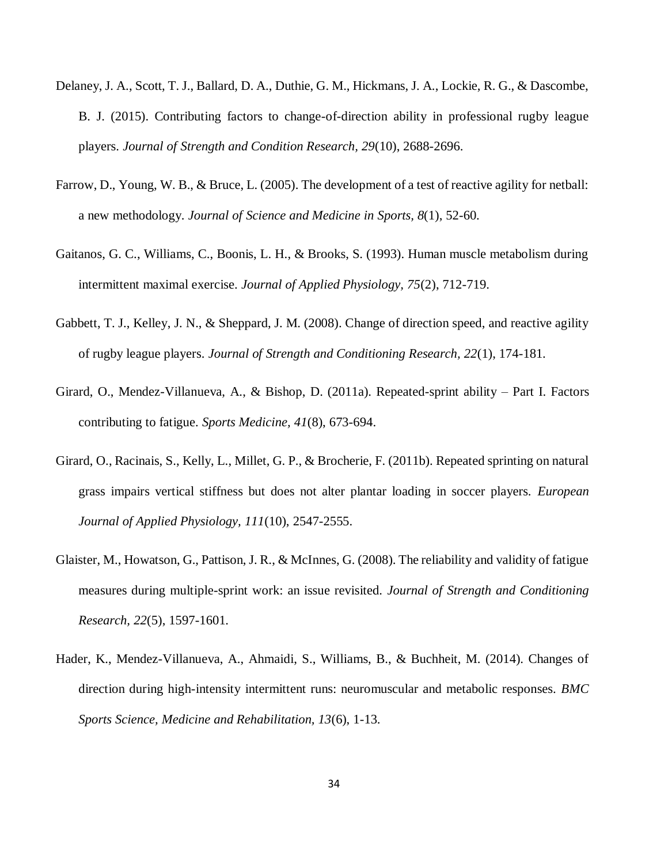- Delaney, J. A., Scott, T. J., Ballard, D. A., Duthie, G. M., Hickmans, J. A., Lockie, R. G., & Dascombe, B. J. (2015). Contributing factors to change-of-direction ability in professional rugby league players. *Journal of Strength and Condition Research, 29*(10), 2688-2696.
- Farrow, D., Young, W. B., & Bruce, L. (2005). The development of a test of reactive agility for netball: a new methodology. *Journal of Science and Medicine in Sports, 8*(1), 52-60.
- Gaitanos, G. C., Williams, C., Boonis, L. H., & Brooks, S. (1993). Human muscle metabolism during intermittent maximal exercise. *Journal of Applied Physiology, 75*(2), 712-719.
- Gabbett, T. J., Kelley, J. N., & Sheppard, J. M. (2008). Change of direction speed, and reactive agility of rugby league players. *Journal of Strength and Conditioning Research, 22*(1), 174-181.
- Girard, O., Mendez-Villanueva, A., & Bishop, D. (2011a). Repeated-sprint ability Part I. Factors contributing to fatigue. *Sports Medicine, 41*(8), 673-694.
- Girard, O., Racinais, S., Kelly, L., Millet, G. P., & Brocherie, F. (2011b). Repeated sprinting on natural grass impairs vertical stiffness but does not alter plantar loading in soccer players. *European Journal of Applied Physiology, 111*(10), 2547-2555.
- Glaister, M., Howatson, G., Pattison, J. R., & McInnes, G. (2008). The reliability and validity of fatigue measures during multiple-sprint work: an issue revisited. *Journal of Strength and Conditioning Research, 22*(5), 1597-1601.
- Hader, K., Mendez-Villanueva, A., Ahmaidi, S., Williams, B., & Buchheit, M. (2014). Changes of direction during high-intensity intermittent runs: neuromuscular and metabolic responses. *BMC Sports Science, Medicine and Rehabilitation, 13*(6), 1-13.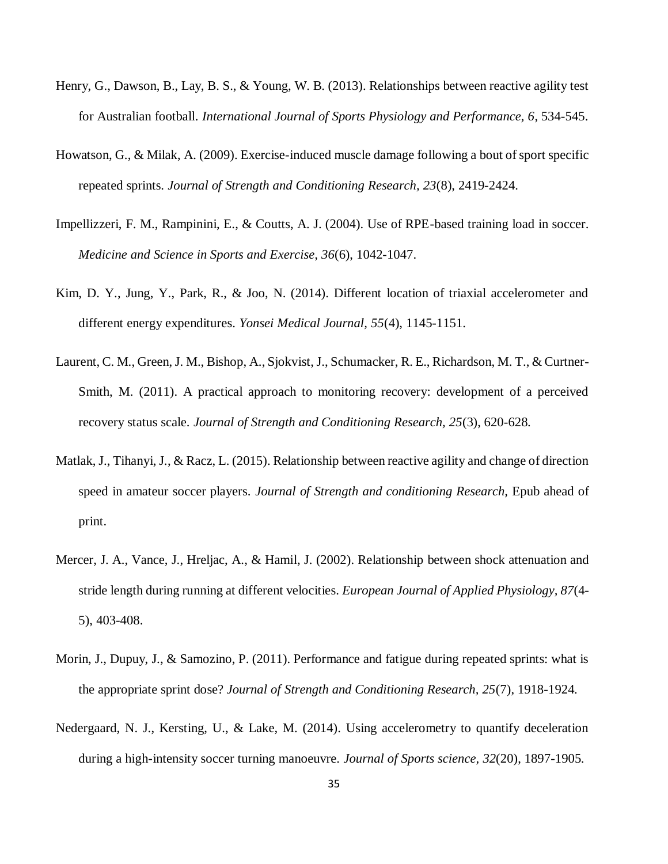- Henry, G., Dawson, B., Lay, B. S., & Young, W. B. (2013). Relationships between reactive agility test for Australian football. *International Journal of Sports Physiology and Performance, 6*, 534-545.
- Howatson, G., & Milak, A. (2009). Exercise-induced muscle damage following a bout of sport specific repeated sprints. *Journal of Strength and Conditioning Research, 23*(8), 2419-2424.
- Impellizzeri, F. M., Rampinini, E., & Coutts, A. J. (2004). Use of RPE-based training load in soccer. *Medicine and Science in Sports and Exercise, 36*(6), 1042-1047.
- Kim, D. Y., Jung, Y., Park, R., & Joo, N. (2014). Different location of triaxial accelerometer and different energy expenditures. *Yonsei Medical Journal, 55*(4), 1145-1151.
- Laurent, C. M., Green, J. M., Bishop, A., Sjokvist, J., Schumacker, R. E., Richardson, M. T., & Curtner-Smith, M. (2011). A practical approach to monitoring recovery: development of a perceived recovery status scale. *Journal of Strength and Conditioning Research, 25*(3), 620-628.
- Matlak, J., Tihanyi, J., & Racz, L. (2015). Relationship between reactive agility and change of direction speed in amateur soccer players. *Journal of Strength and conditioning Research,* Epub ahead of print.
- Mercer, J. A., Vance, J., Hreljac, A., & Hamil, J. (2002). Relationship between shock attenuation and stride length during running at different velocities. *European Journal of Applied Physiology, 87*(4- 5), 403-408.
- Morin, J., Dupuy, J., & Samozino, P. (2011). Performance and fatigue during repeated sprints: what is the appropriate sprint dose? *Journal of Strength and Conditioning Research, 25*(7), 1918-1924.
- Nedergaard, N. J., Kersting, U., & Lake, M. (2014). Using accelerometry to quantify deceleration during a high-intensity soccer turning manoeuvre. *Journal of Sports science, 32*(20), 1897-1905.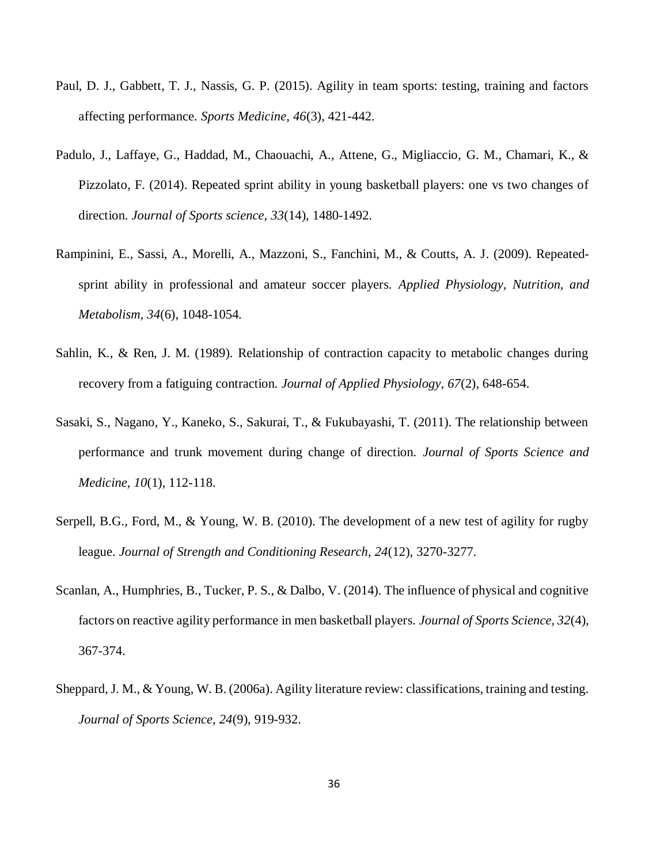- Paul, D. J., Gabbett, T. J., Nassis, G. P. (2015). Agility in team sports: testing, training and factors affecting performance. *Sports Medicine, 46*(3), 421-442.
- Padulo, J., Laffaye, G., Haddad, M., Chaouachi, A., Attene, G., Migliaccio, G. M., Chamari, K., & Pizzolato, F. (2014). Repeated sprint ability in young basketball players: one vs two changes of direction. *Journal of Sports science, 33*(14), 1480-1492.
- Rampinini, E., Sassi, A., Morelli, A., Mazzoni, S., Fanchini, M., & Coutts, A. J. (2009). Repeatedsprint ability in professional and amateur soccer players. *Applied Physiology, Nutrition, and Metabolism, 34*(6), 1048-1054.
- Sahlin, K., & Ren, J. M. (1989). Relationship of contraction capacity to metabolic changes during recovery from a fatiguing contraction. *Journal of Applied Physiology, 67*(2), 648-654.
- Sasaki, S., Nagano, Y., Kaneko, S., Sakurai, T., & Fukubayashi, T. (2011). The relationship between performance and trunk movement during change of direction. *Journal of Sports Science and Medicine, 10*(1), 112-118.
- Serpell, B.G., Ford, M., & Young, W. B. (2010). The development of a new test of agility for rugby league. *Journal of Strength and Conditioning Research, 24*(12), 3270-3277.
- Scanlan, A., Humphries, B., Tucker, P. S., & Dalbo, V. (2014). The influence of physical and cognitive factors on reactive agility performance in men basketball players. *Journal of Sports Science, 32*(4), 367-374.
- Sheppard, J. M., & Young, W. B. (2006a). Agility literature review: classifications, training and testing. *Journal of Sports Science, 24*(9), 919-932.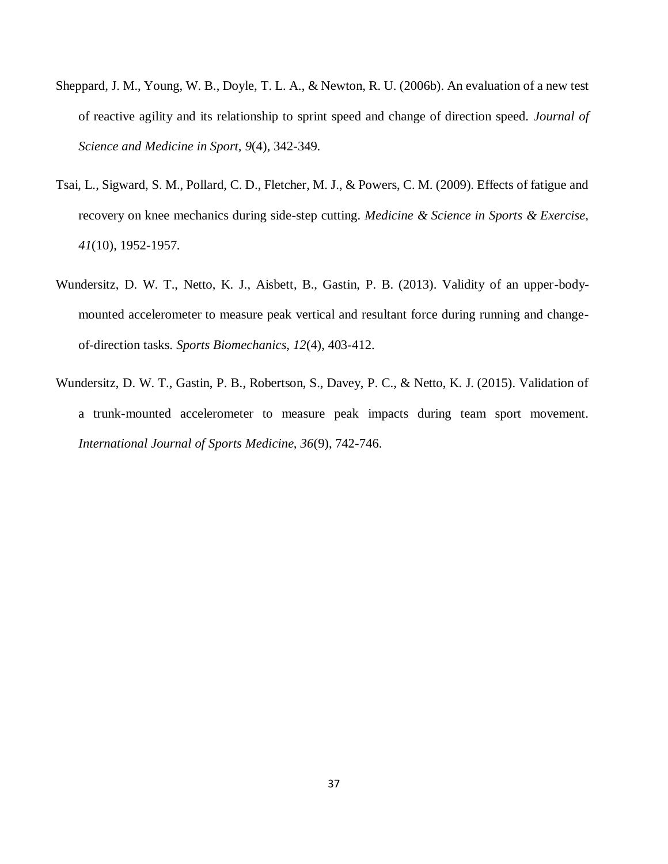- Sheppard, J. M., Young, W. B., Doyle, T. L. A., & Newton, R. U. (2006b). An evaluation of a new test of reactive agility and its relationship to sprint speed and change of direction speed. *Journal of Science and Medicine in Sport, 9*(4), 342-349.
- Tsai, L., Sigward, S. M., Pollard, C. D., Fletcher, M. J., & Powers, C. M. (2009). Effects of fatigue and recovery on knee mechanics during side-step cutting. *Medicine & Science in Sports & Exercise, 41*(10), 1952-1957.
- Wundersitz, D. W. T., Netto, K. J., Aisbett, B., Gastin, P. B. (2013). Validity of an upper-bodymounted accelerometer to measure peak vertical and resultant force during running and changeof-direction tasks. *Sports Biomechanics, 12*(4), 403-412.
- Wundersitz, D. W. T., Gastin, P. B., Robertson, S., Davey, P. C., & Netto, K. J. (2015). Validation of a trunk-mounted accelerometer to measure peak impacts during team sport movement. *International Journal of Sports Medicine, 36*(9), 742-746.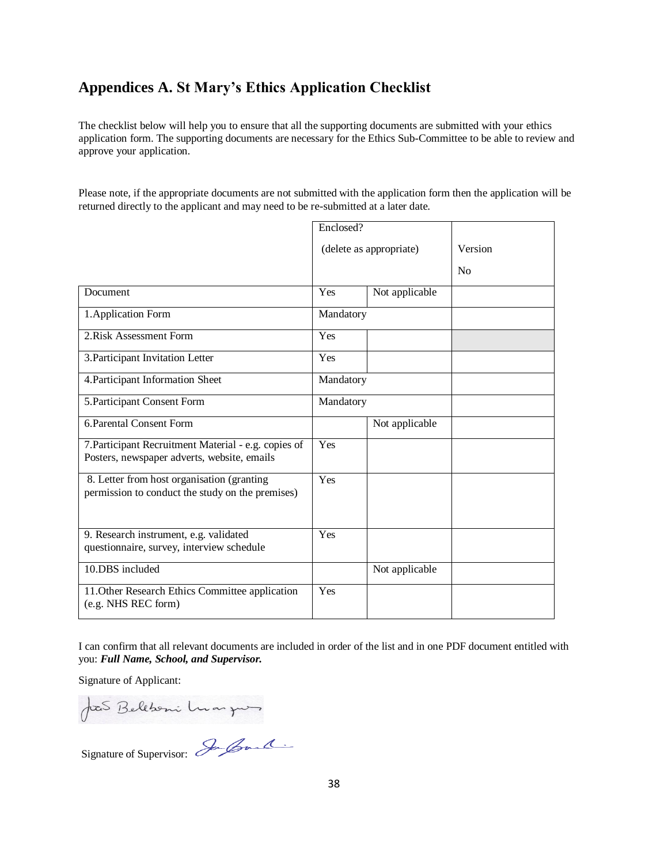## <span id="page-38-0"></span>**Appendices A. St Mary's Ethics Application Checklist**

The checklist below will help you to ensure that all the supporting documents are submitted with your ethics application form. The supporting documents are necessary for the Ethics Sub-Committee to be able to review and approve your application*.*

Please note, if the appropriate documents are not submitted with the application form then the application will be returned directly to the applicant and may need to be re-submitted at a later date.

|                                                                                                     | Enclosed? |                         |                |
|-----------------------------------------------------------------------------------------------------|-----------|-------------------------|----------------|
|                                                                                                     |           | (delete as appropriate) | Version        |
|                                                                                                     |           |                         | N <sub>0</sub> |
| Document                                                                                            | Yes       | Not applicable          |                |
| 1. Application Form                                                                                 | Mandatory |                         |                |
| 2. Risk Assessment Form                                                                             | Yes       |                         |                |
| 3. Participant Invitation Letter                                                                    | Yes       |                         |                |
| 4. Participant Information Sheet                                                                    | Mandatory |                         |                |
| 5. Participant Consent Form                                                                         | Mandatory |                         |                |
| 6. Parental Consent Form                                                                            |           | Not applicable          |                |
| 7. Participant Recruitment Material - e.g. copies of<br>Posters, newspaper adverts, website, emails | Yes       |                         |                |
| 8. Letter from host organisation (granting<br>permission to conduct the study on the premises)      | Yes       |                         |                |
| 9. Research instrument, e.g. validated<br>questionnaire, survey, interview schedule                 | Yes       |                         |                |
| 10.DBS included                                                                                     |           | Not applicable          |                |
| 11. Other Research Ethics Committee application<br>(e.g. NHS REC form)                              | Yes       |                         |                |

I can confirm that all relevant documents are included in order of the list and in one PDF document entitled with you: *Full Name, School, and Supervisor.*

Signature of Applicant:

JoeS Bellboni Luargues

Signature of Supervisor: In Gould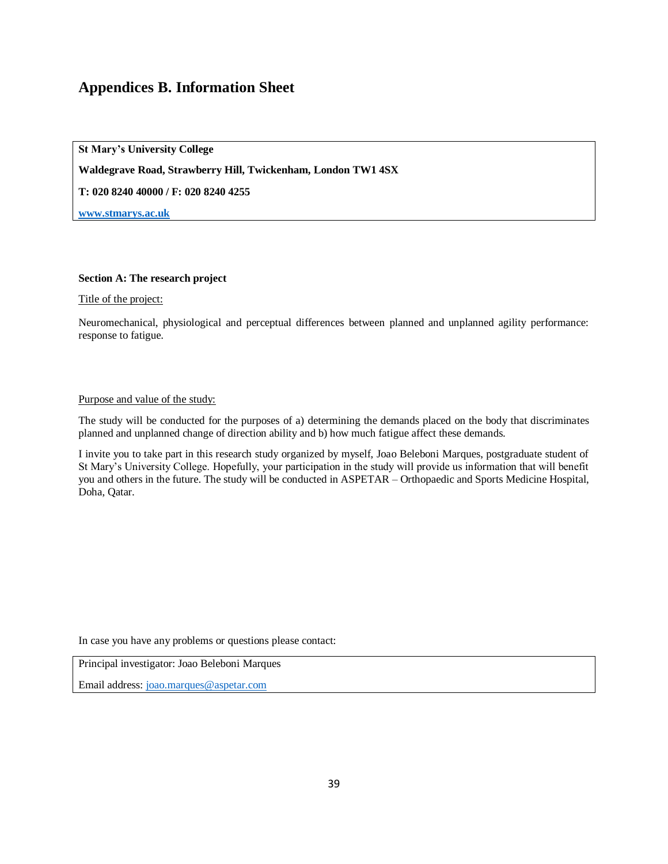## <span id="page-39-0"></span>**Appendices B. Information Sheet**

**St Mary's University College**

**Waldegrave Road, Strawberry Hill, Twickenham, London TW1 4SX** 

**T: 020 8240 40000 / F: 020 8240 4255**

**[www.stmarys.ac.uk](http://www.stmarys.ac.uk/)**

#### **Section A: The research project**

Title of the project:

Neuromechanical, physiological and perceptual differences between planned and unplanned agility performance: response to fatigue.

#### Purpose and value of the study:

The study will be conducted for the purposes of a) determining the demands placed on the body that discriminates planned and unplanned change of direction ability and b) how much fatigue affect these demands.

I invite you to take part in this research study organized by myself, Joao Beleboni Marques, postgraduate student of St Mary's University College. Hopefully, your participation in the study will provide us information that will benefit you and others in the future. The study will be conducted in ASPETAR – Orthopaedic and Sports Medicine Hospital, Doha, Qatar.

In case you have any problems or questions please contact:

Principal investigator: Joao Beleboni Marques

Email address[: joao.marques@aspetar.com](mailto:joao.marques@aspetar.com)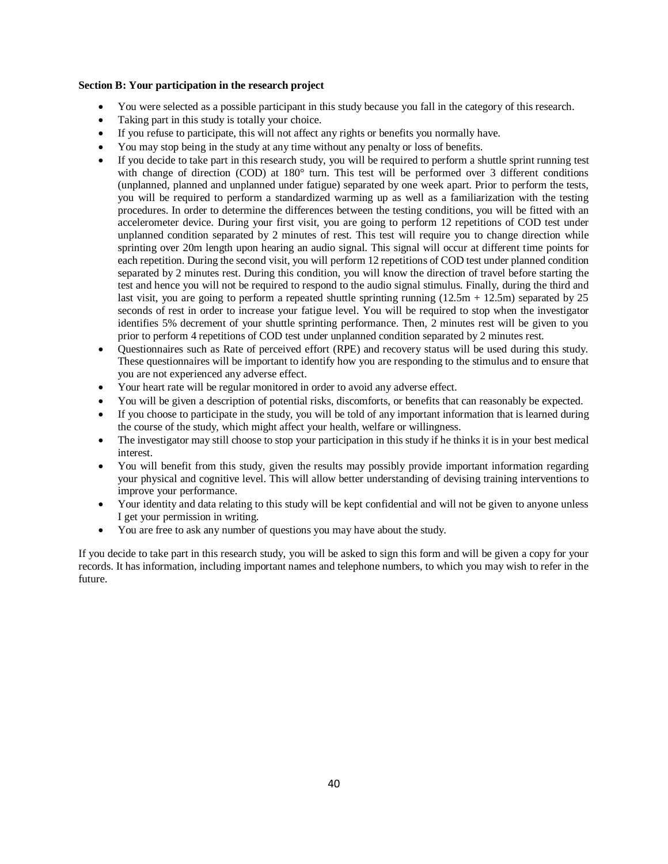#### **Section B: Your participation in the research project**

- You were selected as a possible participant in this study because you fall in the category of this research.
- Taking part in this study is totally your choice.
- If you refuse to participate, this will not affect any rights or benefits you normally have.
- You may stop being in the study at any time without any penalty or loss of benefits.
- If you decide to take part in this research study, you will be required to perform a shuttle sprint running test with change of direction (COD) at 180° turn. This test will be performed over 3 different conditions (unplanned, planned and unplanned under fatigue) separated by one week apart. Prior to perform the tests, you will be required to perform a standardized warming up as well as a familiarization with the testing procedures. In order to determine the differences between the testing conditions, you will be fitted with an accelerometer device. During your first visit, you are going to perform 12 repetitions of COD test under unplanned condition separated by 2 minutes of rest. This test will require you to change direction while sprinting over 20m length upon hearing an audio signal. This signal will occur at different time points for each repetition. During the second visit, you will perform 12 repetitions of COD test under planned condition separated by 2 minutes rest. During this condition, you will know the direction of travel before starting the test and hence you will not be required to respond to the audio signal stimulus. Finally, during the third and last visit, you are going to perform a repeated shuttle sprinting running  $(12.5m + 12.5m)$  separated by 25 seconds of rest in order to increase your fatigue level. You will be required to stop when the investigator identifies 5% decrement of your shuttle sprinting performance. Then, 2 minutes rest will be given to you prior to perform 4 repetitions of COD test under unplanned condition separated by 2 minutes rest.
- Questionnaires such as Rate of perceived effort (RPE) and recovery status will be used during this study. These questionnaires will be important to identify how you are responding to the stimulus and to ensure that you are not experienced any adverse effect.
- Your heart rate will be regular monitored in order to avoid any adverse effect.
- You will be given a description of potential risks, discomforts, or benefits that can reasonably be expected.
- If you choose to participate in the study, you will be told of any important information that is learned during the course of the study, which might affect your health, welfare or willingness.
- The investigator may still choose to stop your participation in this study if he thinks it is in your best medical interest.
- You will benefit from this study, given the results may possibly provide important information regarding your physical and cognitive level. This will allow better understanding of devising training interventions to improve your performance.
- Your identity and data relating to this study will be kept confidential and will not be given to anyone unless I get your permission in writing.
- You are free to ask any number of questions you may have about the study.

If you decide to take part in this research study, you will be asked to sign this form and will be given a copy for your records. It has information, including important names and telephone numbers, to which you may wish to refer in the future.